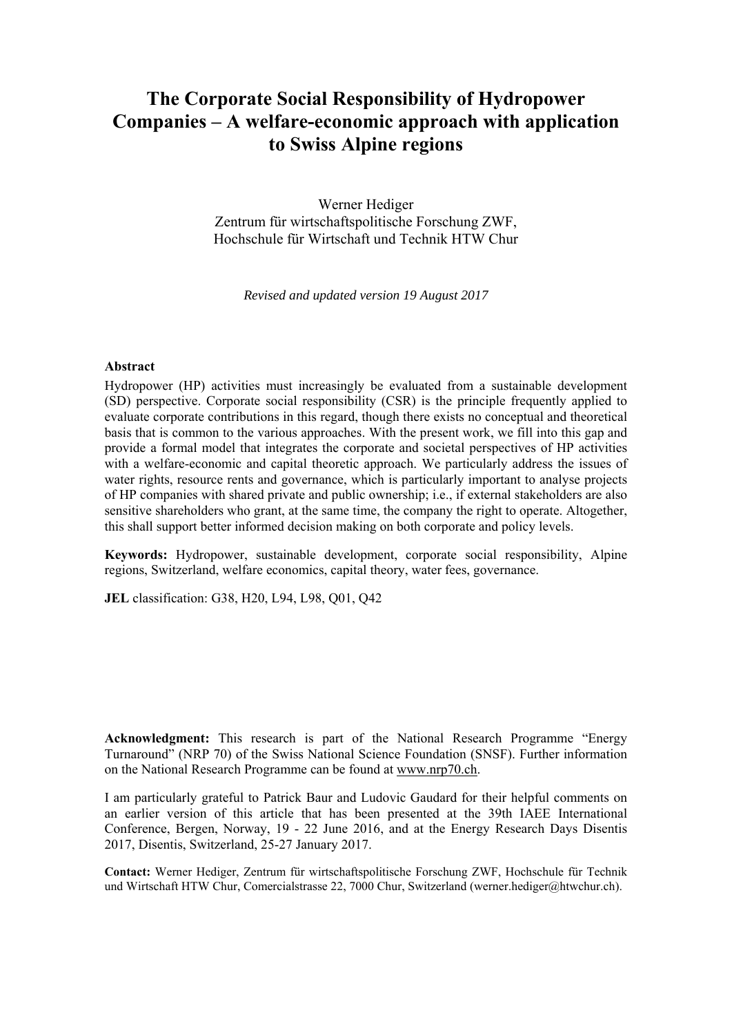# **The Corporate Social Responsibility of Hydropower Companies – A welfare-economic approach with application to Swiss Alpine regions**

Werner Hediger Zentrum für wirtschaftspolitische Forschung ZWF, Hochschule für Wirtschaft und Technik HTW Chur

*Revised and updated version 19 August 2017* 

#### **Abstract**

Hydropower (HP) activities must increasingly be evaluated from a sustainable development (SD) perspective. Corporate social responsibility (CSR) is the principle frequently applied to evaluate corporate contributions in this regard, though there exists no conceptual and theoretical basis that is common to the various approaches. With the present work, we fill into this gap and provide a formal model that integrates the corporate and societal perspectives of HP activities with a welfare-economic and capital theoretic approach. We particularly address the issues of water rights, resource rents and governance, which is particularly important to analyse projects of HP companies with shared private and public ownership; i.e., if external stakeholders are also sensitive shareholders who grant, at the same time, the company the right to operate. Altogether, this shall support better informed decision making on both corporate and policy levels.

**Keywords:** Hydropower, sustainable development, corporate social responsibility, Alpine regions, Switzerland, welfare economics, capital theory, water fees, governance.

**JEL** classification: G38, H20, L94, L98, Q01, Q42

**Acknowledgment:** This research is part of the National Research Programme "Energy Turnaround" (NRP 70) of the Swiss National Science Foundation (SNSF). Further information on the National Research Programme can be found at www.nrp70.ch.

I am particularly grateful to Patrick Baur and Ludovic Gaudard for their helpful comments on an earlier version of this article that has been presented at the 39th IAEE International Conference, Bergen, Norway, 19 - 22 June 2016, and at the Energy Research Days Disentis 2017, Disentis, Switzerland, 25-27 January 2017.

**Contact:** Werner Hediger, Zentrum für wirtschaftspolitische Forschung ZWF, Hochschule für Technik und Wirtschaft HTW Chur, Comercialstrasse 22, 7000 Chur, Switzerland (werner.hediger@htwchur.ch).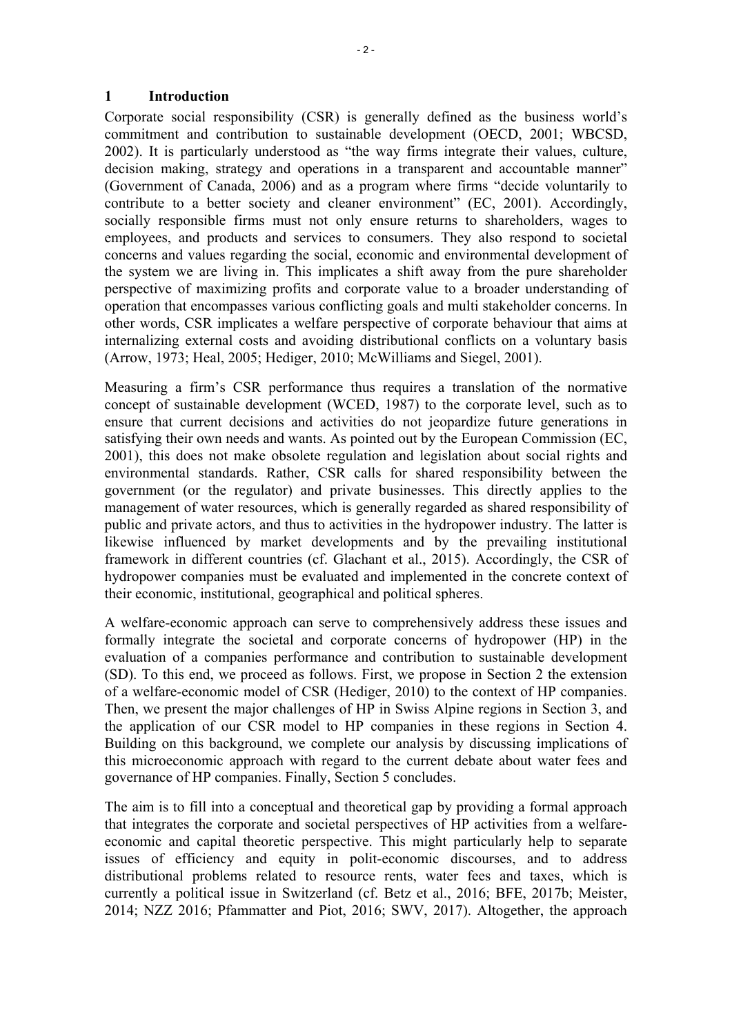#### **1 Introduction**

Corporate social responsibility (CSR) is generally defined as the business world's commitment and contribution to sustainable development (OECD, 2001; WBCSD, 2002). It is particularly understood as "the way firms integrate their values, culture, decision making, strategy and operations in a transparent and accountable manner" (Government of Canada, 2006) and as a program where firms "decide voluntarily to contribute to a better society and cleaner environment" (EC, 2001). Accordingly, socially responsible firms must not only ensure returns to shareholders, wages to employees, and products and services to consumers. They also respond to societal concerns and values regarding the social, economic and environmental development of the system we are living in. This implicates a shift away from the pure shareholder perspective of maximizing profits and corporate value to a broader understanding of operation that encompasses various conflicting goals and multi stakeholder concerns. In other words, CSR implicates a welfare perspective of corporate behaviour that aims at internalizing external costs and avoiding distributional conflicts on a voluntary basis (Arrow, 1973; Heal, 2005; Hediger, 2010; McWilliams and Siegel, 2001).

Measuring a firm's CSR performance thus requires a translation of the normative concept of sustainable development (WCED, 1987) to the corporate level, such as to ensure that current decisions and activities do not jeopardize future generations in satisfying their own needs and wants. As pointed out by the European Commission (EC, 2001), this does not make obsolete regulation and legislation about social rights and environmental standards. Rather, CSR calls for shared responsibility between the government (or the regulator) and private businesses. This directly applies to the management of water resources, which is generally regarded as shared responsibility of public and private actors, and thus to activities in the hydropower industry. The latter is likewise influenced by market developments and by the prevailing institutional framework in different countries (cf. Glachant et al., 2015). Accordingly, the CSR of hydropower companies must be evaluated and implemented in the concrete context of their economic, institutional, geographical and political spheres.

A welfare-economic approach can serve to comprehensively address these issues and formally integrate the societal and corporate concerns of hydropower (HP) in the evaluation of a companies performance and contribution to sustainable development (SD). To this end, we proceed as follows. First, we propose in Section 2 the extension of a welfare-economic model of CSR (Hediger, 2010) to the context of HP companies. Then, we present the major challenges of HP in Swiss Alpine regions in Section 3, and the application of our CSR model to HP companies in these regions in Section 4. Building on this background, we complete our analysis by discussing implications of this microeconomic approach with regard to the current debate about water fees and governance of HP companies. Finally, Section 5 concludes.

The aim is to fill into a conceptual and theoretical gap by providing a formal approach that integrates the corporate and societal perspectives of HP activities from a welfareeconomic and capital theoretic perspective. This might particularly help to separate issues of efficiency and equity in polit-economic discourses, and to address distributional problems related to resource rents, water fees and taxes, which is currently a political issue in Switzerland (cf. Betz et al., 2016; BFE, 2017b; Meister, 2014; NZZ 2016; Pfammatter and Piot, 2016; SWV, 2017). Altogether, the approach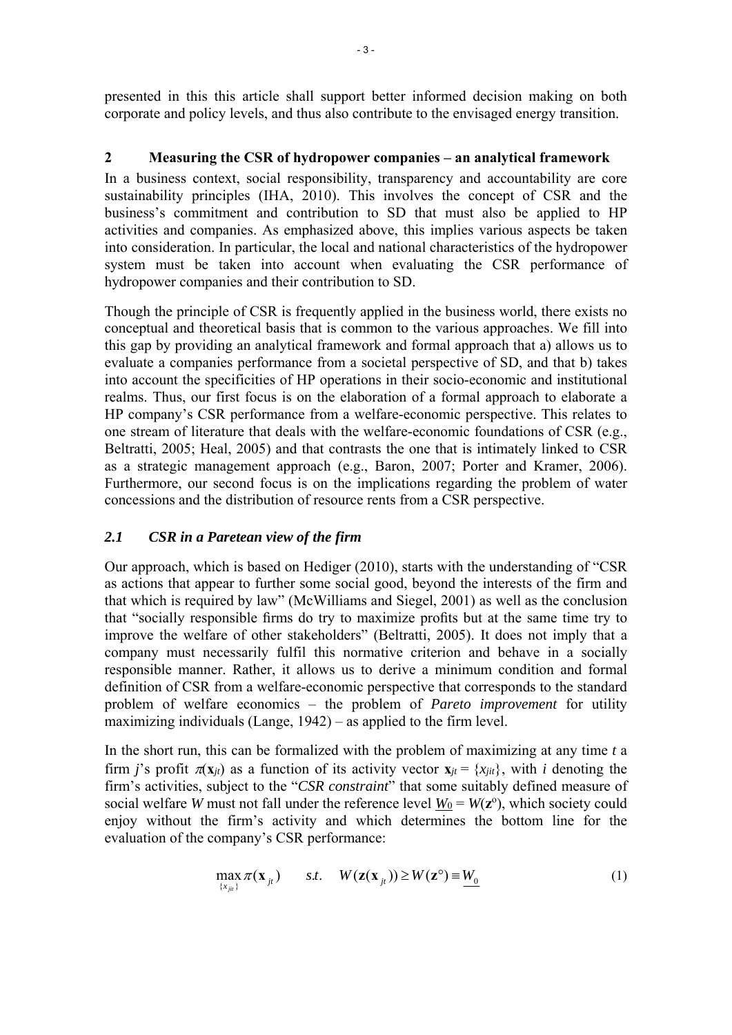presented in this this article shall support better informed decision making on both corporate and policy levels, and thus also contribute to the envisaged energy transition.

## **2 Measuring the CSR of hydropower companies – an analytical framework**

In a business context, social responsibility, transparency and accountability are core sustainability principles (IHA, 2010). This involves the concept of CSR and the business's commitment and contribution to SD that must also be applied to HP activities and companies. As emphasized above, this implies various aspects be taken into consideration. In particular, the local and national characteristics of the hydropower system must be taken into account when evaluating the CSR performance of hydropower companies and their contribution to SD.

Though the principle of CSR is frequently applied in the business world, there exists no conceptual and theoretical basis that is common to the various approaches. We fill into this gap by providing an analytical framework and formal approach that a) allows us to evaluate a companies performance from a societal perspective of SD, and that b) takes into account the specificities of HP operations in their socio-economic and institutional realms. Thus, our first focus is on the elaboration of a formal approach to elaborate a HP company's CSR performance from a welfare-economic perspective. This relates to one stream of literature that deals with the welfare-economic foundations of CSR (e.g., Beltratti, 2005; Heal, 2005) and that contrasts the one that is intimately linked to CSR as a strategic management approach (e.g., Baron, 2007; Porter and Kramer, 2006). Furthermore, our second focus is on the implications regarding the problem of water concessions and the distribution of resource rents from a CSR perspective.

## *2.1 CSR in a Paretean view of the firm*

Our approach, which is based on Hediger (2010), starts with the understanding of "CSR as actions that appear to further some social good, beyond the interests of the firm and that which is required by law" (McWilliams and Siegel, 2001) as well as the conclusion that "socially responsible firms do try to maximize profits but at the same time try to improve the welfare of other stakeholders" (Beltratti, 2005). It does not imply that a company must necessarily fulfil this normative criterion and behave in a socially responsible manner. Rather, it allows us to derive a minimum condition and formal definition of CSR from a welfare-economic perspective that corresponds to the standard problem of welfare economics – the problem of *Pareto improvement* for utility maximizing individuals (Lange, 1942) – as applied to the firm level.

In the short run, this can be formalized with the problem of maximizing at any time *t* a firm *j*'s profit  $\pi(\mathbf{x}_i)$  as a function of its activity vector  $\mathbf{x}_i = \{x_{i} \}$ , with *i* denoting the firm's activities, subject to the "*CSR constraint*" that some suitably defined measure of social welfare *W* must not fall under the reference level  $W_0 = W(z^0)$ , which society could enjoy without the firm's activity and which determines the bottom line for the evaluation of the company's CSR performance:

$$
\max_{\{x_{ji}\}} \pi(\mathbf{x}_{ji}) \qquad s.t. \quad W(\mathbf{z}(\mathbf{x}_{ji})) \ge W(\mathbf{z}^{\circ}) \equiv \underline{W}_{0}
$$
\n(1)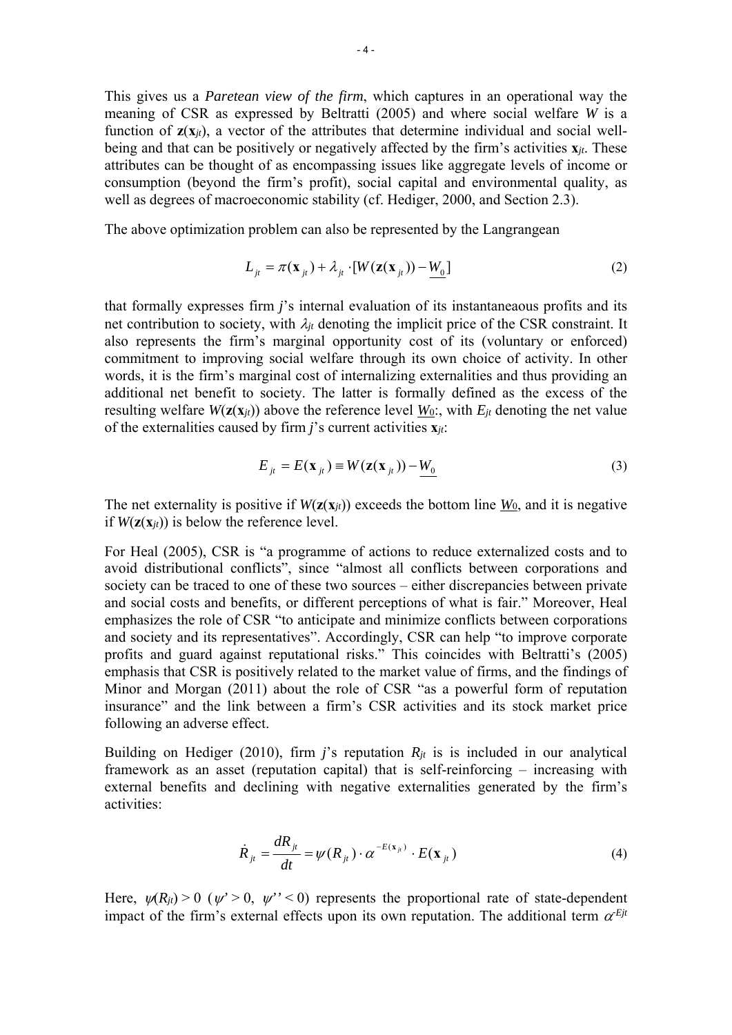This gives us a *Paretean view of the firm*, which captures in an operational way the meaning of CSR as expressed by Beltratti (2005) and where social welfare *W* is a function of  $z(x_{it})$ , a vector of the attributes that determine individual and social wellbeing and that can be positively or negatively affected by the firm's activities **x***jt*. These attributes can be thought of as encompassing issues like aggregate levels of income or consumption (beyond the firm's profit), social capital and environmental quality, as well as degrees of macroeconomic stability (cf. Hediger, 2000, and Section 2.3).

The above optimization problem can also be represented by the Langrangean

$$
L_{it} = \pi(\mathbf{x}_{it}) + \lambda_{it} \cdot [W(\mathbf{z}(\mathbf{x}_{it})) - W_0]
$$
 (2)

that formally expresses firm *j*'s internal evaluation of its instantaneaous profits and its net contribution to society, with  $\lambda_{it}$  denoting the implicit price of the CSR constraint. It also represents the firm's marginal opportunity cost of its (voluntary or enforced) commitment to improving social welfare through its own choice of activity. In other words, it is the firm's marginal cost of internalizing externalities and thus providing an additional net benefit to society. The latter is formally defined as the excess of the resulting welfare  $W(z(x_{it}))$  above the reference level  $W_0$ :, with  $E_{it}$  denoting the net value of the externalities caused by firm *j*'s current activities **x***jt*:

$$
E_{it} = E(\mathbf{x}_{it}) \equiv W(\mathbf{z}(\mathbf{x}_{it})) - W_0
$$
\n(3)

The net externality is positive if  $W(z(x_{it}))$  exceeds the bottom line  $W_0$ , and it is negative if  $W(z(x_{it}))$  is below the reference level.

For Heal (2005), CSR is "a programme of actions to reduce externalized costs and to avoid distributional conflicts", since "almost all conflicts between corporations and society can be traced to one of these two sources – either discrepancies between private and social costs and benefits, or different perceptions of what is fair." Moreover, Heal emphasizes the role of CSR "to anticipate and minimize conflicts between corporations and society and its representatives". Accordingly, CSR can help "to improve corporate profits and guard against reputational risks." This coincides with Beltratti's (2005) emphasis that CSR is positively related to the market value of firms, and the findings of Minor and Morgan (2011) about the role of CSR "as a powerful form of reputation insurance" and the link between a firm's CSR activities and its stock market price following an adverse effect.

Building on Hediger (2010), firm  $\hat{i}$ 's reputation  $R_{\hat{i}i}$  is is included in our analytical framework as an asset (reputation capital) that is self-reinforcing – increasing with external benefits and declining with negative externalities generated by the firm's activities:

$$
\dot{R}_{jt} = \frac{dR_{jt}}{dt} = \psi(R_{jt}) \cdot \alpha^{-E(\mathbf{x}_{jt})} \cdot E(\mathbf{x}_{jt})
$$
\n(4)

Here,  $\psi(R_{it}) > 0$  ( $\psi' > 0$ ,  $\psi'' < 0$ ) represents the proportional rate of state-dependent impact of the firm's external effects upon its own reputation. The additional term  $\alpha^{Ejt}$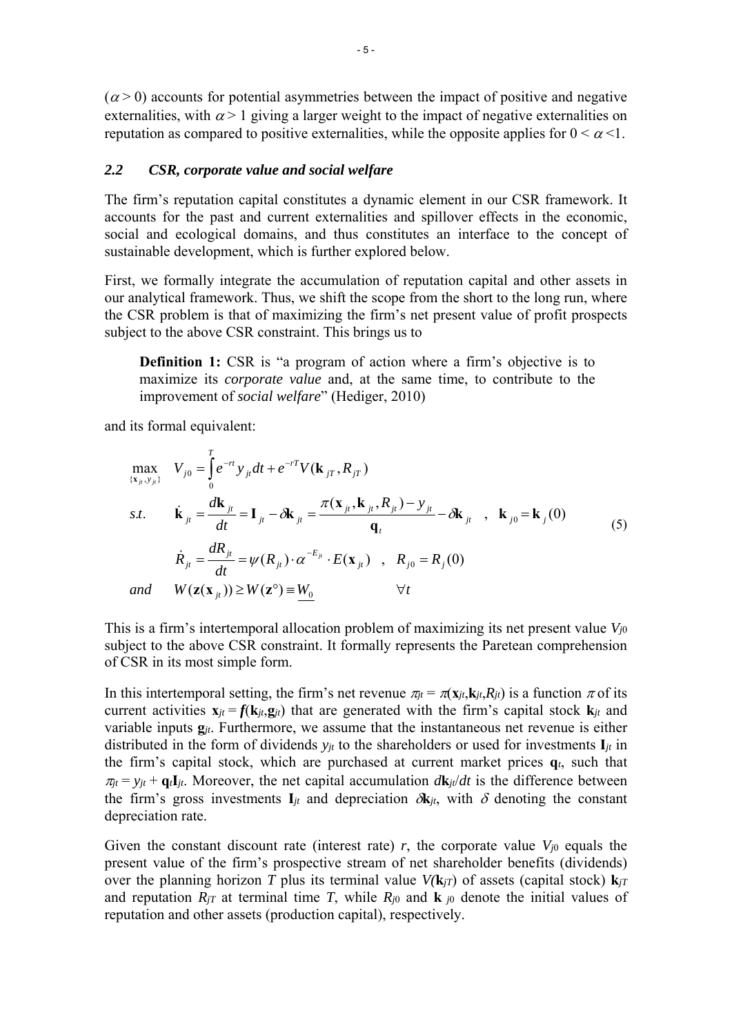$(\alpha > 0)$  accounts for potential asymmetries between the impact of positive and negative externalities, with  $\alpha > 1$  giving a larger weight to the impact of negative externalities on reputation as compared to positive externalities, while the opposite applies for  $0 \le \alpha \le 1$ .

## *2.2 CSR, corporate value and social welfare*

The firm's reputation capital constitutes a dynamic element in our CSR framework. It accounts for the past and current externalities and spillover effects in the economic, social and ecological domains, and thus constitutes an interface to the concept of sustainable development, which is further explored below.

First, we formally integrate the accumulation of reputation capital and other assets in our analytical framework. Thus, we shift the scope from the short to the long run, where the CSR problem is that of maximizing the firm's net present value of profit prospects subject to the above CSR constraint. This brings us to

**Definition 1:** CSR is "a program of action where a firm's objective is to maximize its *corporate value* and, at the same time, to contribute to the improvement of *social welfare*" (Hediger, 2010)

and its formal equivalent:

$$
\max_{\{\mathbf{x}_{ji}, \mathbf{y}_{ji}\}} V_{j0} = \int_{0}^{T} e^{-rt} y_{ji} dt + e^{-rT} V(\mathbf{k}_{jT}, R_{jT})
$$
\n
$$
s.t. \quad \dot{\mathbf{k}}_{ji} = \frac{d\mathbf{k}_{ji}}{dt} = \mathbf{I}_{ji} - \partial \mathbf{k}_{ji} = \frac{\pi(\mathbf{x}_{ji}, \mathbf{k}_{ji}, R_{ji}) - y_{ji}}{\mathbf{q}_{t}} - \partial \mathbf{k}_{ji} \quad , \quad \mathbf{k}_{j0} = \mathbf{k}_{j}(0)
$$
\n
$$
\dot{R}_{ji} = \frac{dR_{ji}}{dt} = \psi(R_{ji}) \cdot \alpha^{-E_{ji}} \cdot E(\mathbf{x}_{ji}) \quad , \quad R_{j0} = R_{j}(0)
$$
\n
$$
and \quad W(\mathbf{z}(\mathbf{x}_{ji})) \ge W(\mathbf{z}^{0}) \equiv W_{0} \qquad \forall t
$$
\n(5)

This is a firm's intertemporal allocation problem of maximizing its net present value *Vj*<sup>0</sup> subject to the above CSR constraint. It formally represents the Paretean comprehension of CSR in its most simple form.

In this intertemporal setting, the firm's net revenue  $\pi_{jt} = \pi(\mathbf{x}_{jt}, \mathbf{k}_{jt}, R_{jt})$  is a function  $\pi$  of its current activities  $\mathbf{x}_{it} = f(\mathbf{k}_{it}, \mathbf{g}_{it})$  that are generated with the firm's capital stock  $\mathbf{k}_{it}$  and variable inputs **g***jt*. Furthermore, we assume that the instantaneous net revenue is either distributed in the form of dividends *yjt* to the shareholders or used for investments **I***jt* in the firm's capital stock, which are purchased at current market prices **q***t*, such that  $\pi_{it} = y_{it} + q_t \mathbf{I}_{it}$ . Moreover, the net capital accumulation  $d\mathbf{k}_{it}/dt$  is the difference between the firm's gross investments  $I_{jt}$  and depreciation  $\partial K_{jt}$ , with  $\delta$  denoting the constant depreciation rate.

Given the constant discount rate (interest rate)  $r$ , the corporate value  $V_{j0}$  equals the present value of the firm's prospective stream of net shareholder benefits (dividends) over the planning horizon *T* plus its terminal value  $V(\mathbf{k}_{iT})$  of assets (capital stock)  $\mathbf{k}_{iT}$ and reputation  $R_{jT}$  at terminal time *T*, while  $R_{j0}$  and **k**  $j0$  denote the initial values of reputation and other assets (production capital), respectively.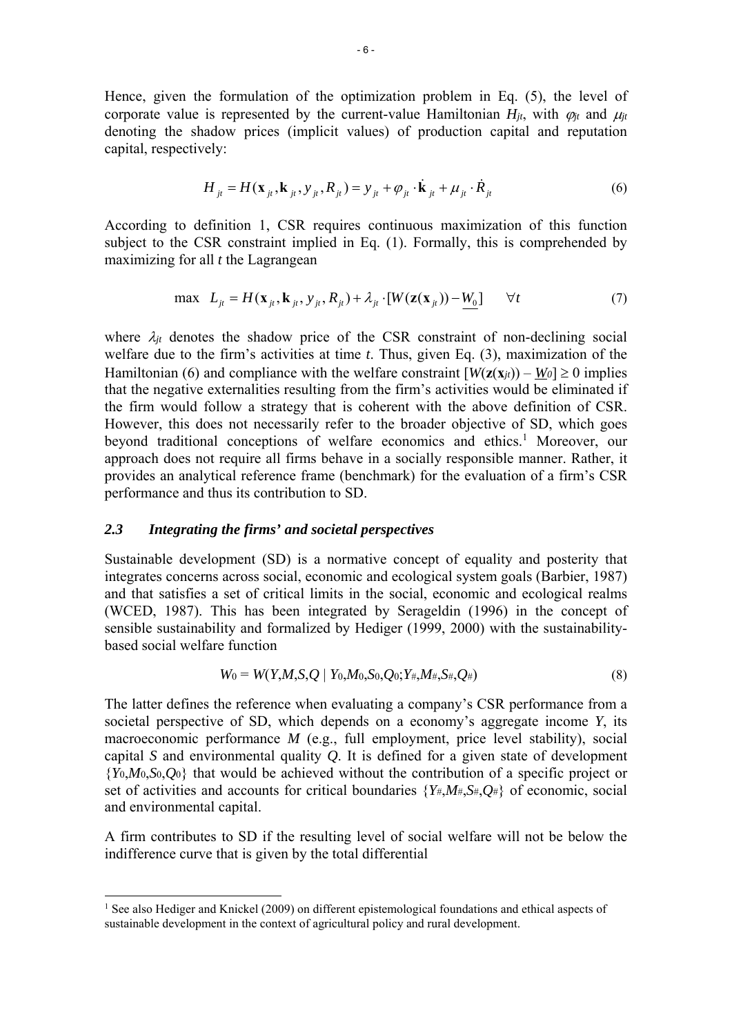Hence, given the formulation of the optimization problem in Eq. (5), the level of corporate value is represented by the current-value Hamiltonian  $H_{it}$ , with  $\varphi_{it}$  and  $\mu_{it}$ denoting the shadow prices (implicit values) of production capital and reputation capital, respectively:

$$
H_{jt} = H(\mathbf{x}_{jt}, \mathbf{k}_{jt}, \mathbf{y}_{jt}, R_{jt}) = \mathbf{y}_{jt} + \boldsymbol{\varphi}_{jt} \cdot \dot{\mathbf{k}}_{jt} + \boldsymbol{\mu}_{jt} \cdot \dot{R}_{jt}
$$
(6)

According to definition 1, CSR requires continuous maximization of this function subject to the CSR constraint implied in Eq. (1). Formally, this is comprehended by maximizing for all *t* the Lagrangean

$$
\max L_{ji} = H(\mathbf{x}_{ji}, \mathbf{k}_{ji}, \mathbf{y}_{ji}, R_{ji}) + \lambda_{ji} \cdot [W(\mathbf{z}(\mathbf{x}_{ji})) - W_0] \qquad \forall t \tag{7}
$$

where  $\lambda_{jt}$  denotes the shadow price of the CSR constraint of non-declining social welfare due to the firm's activities at time *t*. Thus, given Eq. (3), maximization of the Hamiltonian (6) and compliance with the welfare constraint  $[W(z(x_{it})) - W_0] \ge 0$  implies that the negative externalities resulting from the firm's activities would be eliminated if the firm would follow a strategy that is coherent with the above definition of CSR. However, this does not necessarily refer to the broader objective of SD, which goes beyond traditional conceptions of welfare economics and ethics.<sup>1</sup> Moreover, our approach does not require all firms behave in a socially responsible manner. Rather, it provides an analytical reference frame (benchmark) for the evaluation of a firm's CSR performance and thus its contribution to SD.

#### *2.3 Integrating the firms' and societal perspectives*

1

Sustainable development (SD) is a normative concept of equality and posterity that integrates concerns across social, economic and ecological system goals (Barbier, 1987) and that satisfies a set of critical limits in the social, economic and ecological realms (WCED, 1987). This has been integrated by Serageldin (1996) in the concept of sensible sustainability and formalized by Hediger (1999, 2000) with the sustainabilitybased social welfare function

$$
W_0 = W(Y,M,S,Q \mid Y_0,M_0,S_0,Q_0;Y_{\#},M_{\#},S_{\#},Q_{\#})
$$
\n(8)

The latter defines the reference when evaluating a company's CSR performance from a societal perspective of SD, which depends on a economy's aggregate income *Y*, its macroeconomic performance *M* (e.g., full employment, price level stability), social capital *S* and environmental quality *Q*. It is defined for a given state of development {*Y*0,*M*0,*S*0,*Q*0} that would be achieved without the contribution of a specific project or set of activities and accounts for critical boundaries {*Y*#,*M*#,*S*#,*Q*#} of economic, social and environmental capital.

A firm contributes to SD if the resulting level of social welfare will not be below the indifference curve that is given by the total differential

<sup>&</sup>lt;sup>1</sup> See also Hediger and Knickel (2009) on different epistemological foundations and ethical aspects of sustainable development in the context of agricultural policy and rural development.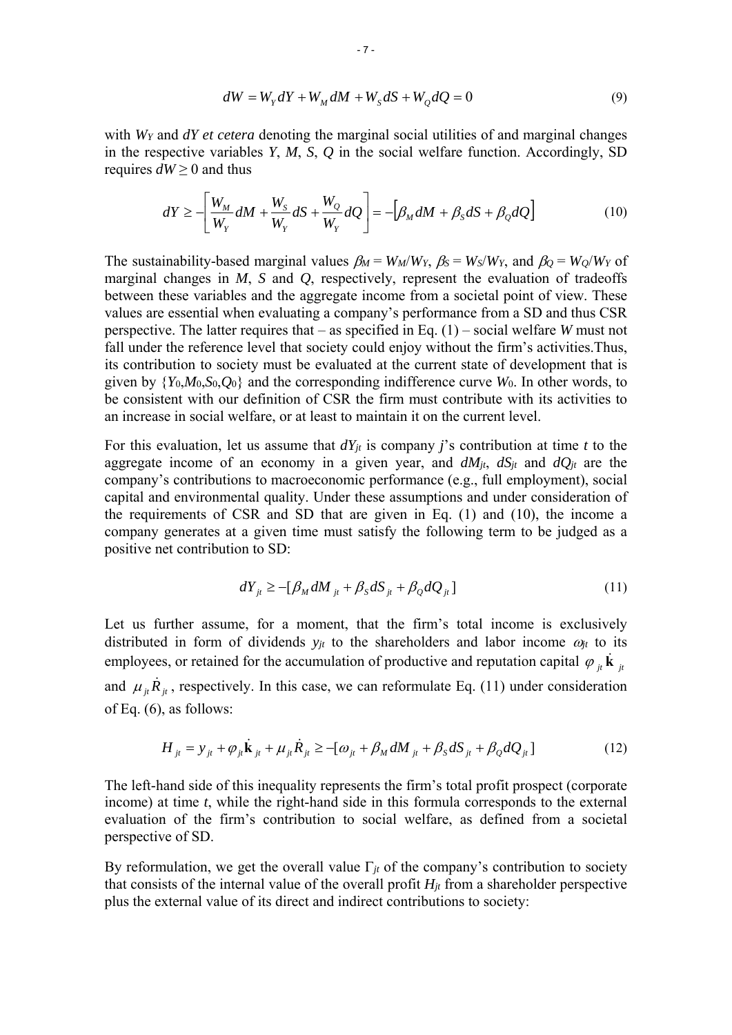$$
dW = W_y dY + W_M dM + W_s dS + W_Q dQ = 0
$$
\n<sup>(9)</sup>

with *WY* and *dY et cetera* denoting the marginal social utilities of and marginal changes in the respective variables *Y*, *M*, *S*, *Q* in the social welfare function. Accordingly, SD requires  $dW > 0$  and thus

$$
dY \ge -\left[\frac{W_M}{W_Y}dM + \frac{W_S}{W_Y}dS + \frac{W_Q}{W_Y}dQ\right] = -\left[\beta_M dM + \beta_S dS + \beta_Q dQ\right]
$$
(10)

The sustainability-based marginal values  $\beta_M = W_M/W_Y$ ,  $\beta_S = W_S/W_Y$ , and  $\beta_Q = W_Q/W_Y$  of marginal changes in *M*, *S* and *Q*, respectively, represent the evaluation of tradeoffs between these variables and the aggregate income from a societal point of view. These values are essential when evaluating a company's performance from a SD and thus CSR perspective. The latter requires that – as specified in Eq. (1) – social welfare *W* must not fall under the reference level that society could enjoy without the firm's activities.Thus, its contribution to society must be evaluated at the current state of development that is given by  ${Y_0,M_0,S_0,Q_0}$  and the corresponding indifference curve  $W_0$ . In other words, to be consistent with our definition of CSR the firm must contribute with its activities to an increase in social welfare, or at least to maintain it on the current level.

For this evaluation, let us assume that  $dY_{jt}$  is company *j*'s contribution at time *t* to the aggregate income of an economy in a given year, and  $dM_{jt}$ ,  $dS_{jt}$  and  $dQ_{jt}$  are the company's contributions to macroeconomic performance (e.g., full employment), social capital and environmental quality. Under these assumptions and under consideration of the requirements of CSR and SD that are given in Eq. (1) and (10), the income a company generates at a given time must satisfy the following term to be judged as a positive net contribution to SD:

$$
dY_{jt} \ge -[\beta_M dM_{jt} + \beta_S dS_{jt} + \beta_Q dQ_{jt}]
$$
\n(11)

Let us further assume, for a moment, that the firm's total income is exclusively distributed in form of dividends  $y_{jt}$  to the shareholders and labor income  $\omega_{jt}$  to its employees, or retained for the accumulation of productive and reputation capital  $\varphi_{jt}$ **k**  $_{jt}$ and  $\mu_{\mu} \dot{R}_{\mu}$ , respectively. In this case, we can reformulate Eq. (11) under consideration of Eq. (6), as follows:

$$
H_{ji} = y_{ji} + \varphi_{ji} \dot{\mathbf{k}}_{ji} + \mu_{ji} \dot{R}_{ji} \ge -[\omega_{ji} + \beta_M dM_{ji} + \beta_S dS_{ji} + \beta_Q dQ_{ji}]
$$
 (12)

The left-hand side of this inequality represents the firm's total profit prospect (corporate income) at time *t*, while the right-hand side in this formula corresponds to the external evaluation of the firm's contribution to social welfare, as defined from a societal perspective of SD.

By reformulation, we get the overall value  $\Gamma_{jt}$  of the company's contribution to society that consists of the internal value of the overall profit  $H_{jt}$  from a shareholder perspective plus the external value of its direct and indirect contributions to society: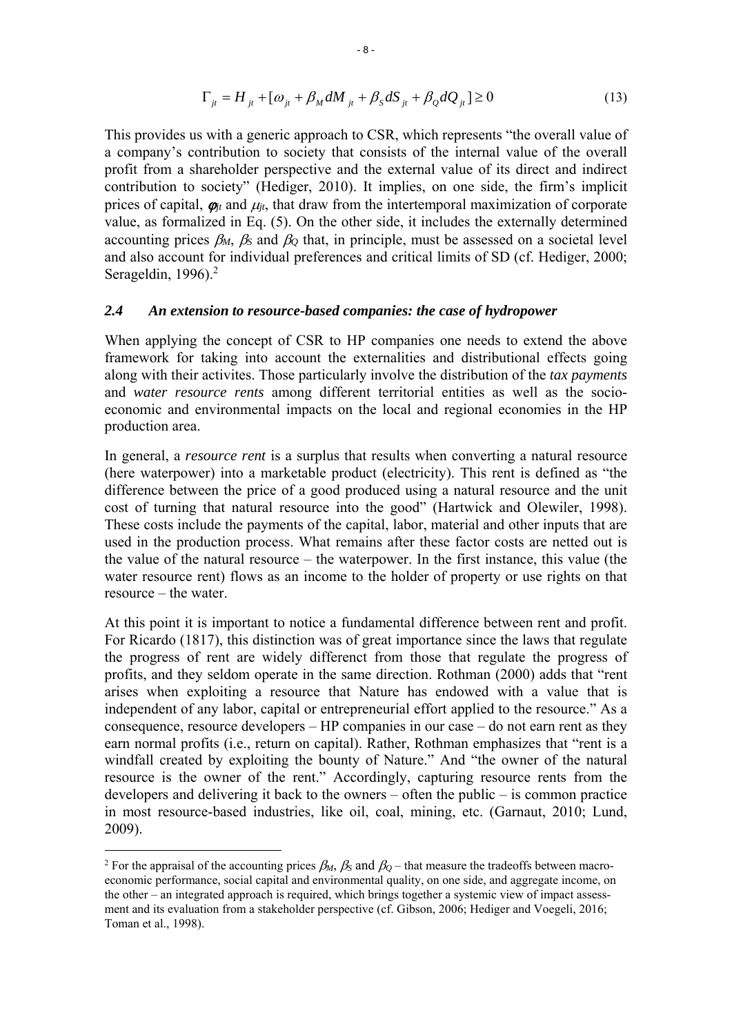$$
\Gamma_{ji} = H_{ji} + [\omega_{ji} + \beta_M dM_{ji} + \beta_S dS_{ji} + \beta_Q dQ_{ji}] \ge 0
$$
\n(13)

This provides us with a generic approach to CSR, which represents "the overall value of a company's contribution to society that consists of the internal value of the overall profit from a shareholder perspective and the external value of its direct and indirect contribution to society" (Hediger, 2010). It implies, on one side, the firm's implicit prices of capital,  $\boldsymbol{\varphi}_{it}$  and  $\mu_{it}$ , that draw from the intertemporal maximization of corporate value, as formalized in Eq. (5). On the other side, it includes the externally determined accounting prices  $\beta_M$ ,  $\beta_S$  and  $\beta_Q$  that, in principle, must be assessed on a societal level and also account for individual preferences and critical limits of SD (cf. Hediger, 2000; Serageldin, 1996).<sup>2</sup>

#### *2.4 An extension to resource-based companies: the case of hydropower*

When applying the concept of CSR to HP companies one needs to extend the above framework for taking into account the externalities and distributional effects going along with their activites. Those particularly involve the distribution of the *tax payments* and *water resource rents* among different territorial entities as well as the socioeconomic and environmental impacts on the local and regional economies in the HP production area.

In general, a *resource rent* is a surplus that results when converting a natural resource (here waterpower) into a marketable product (electricity). This rent is defined as "the difference between the price of a good produced using a natural resource and the unit cost of turning that natural resource into the good" (Hartwick and Olewiler, 1998). These costs include the payments of the capital, labor, material and other inputs that are used in the production process. What remains after these factor costs are netted out is the value of the natural resource – the waterpower. In the first instance, this value (the water resource rent) flows as an income to the holder of property or use rights on that resource – the water.

At this point it is important to notice a fundamental difference between rent and profit. For Ricardo (1817), this distinction was of great importance since the laws that regulate the progress of rent are widely differenct from those that regulate the progress of profits, and they seldom operate in the same direction. Rothman (2000) adds that "rent arises when exploiting a resource that Nature has endowed with a value that is independent of any labor, capital or entrepreneurial effort applied to the resource." As a consequence, resource developers – HP companies in our case – do not earn rent as they earn normal profits (i.e., return on capital). Rather, Rothman emphasizes that "rent is a windfall created by exploiting the bounty of Nature." And "the owner of the natural resource is the owner of the rent." Accordingly, capturing resource rents from the developers and delivering it back to the owners – often the public – is common practice in most resource-based industries, like oil, coal, mining, etc. (Garnaut, 2010; Lund, 2009).

-

<sup>&</sup>lt;sup>2</sup> For the appraisal of the accounting prices  $\beta_M$ ,  $\beta_S$  and  $\beta_Q$  – that measure the tradeoffs between macroeconomic performance, social capital and environmental quality, on one side, and aggregate income, on the other – an integrated approach is required, which brings together a systemic view of impact assessment and its evaluation from a stakeholder perspective (cf. Gibson, 2006; Hediger and Voegeli, 2016; Toman et al., 1998).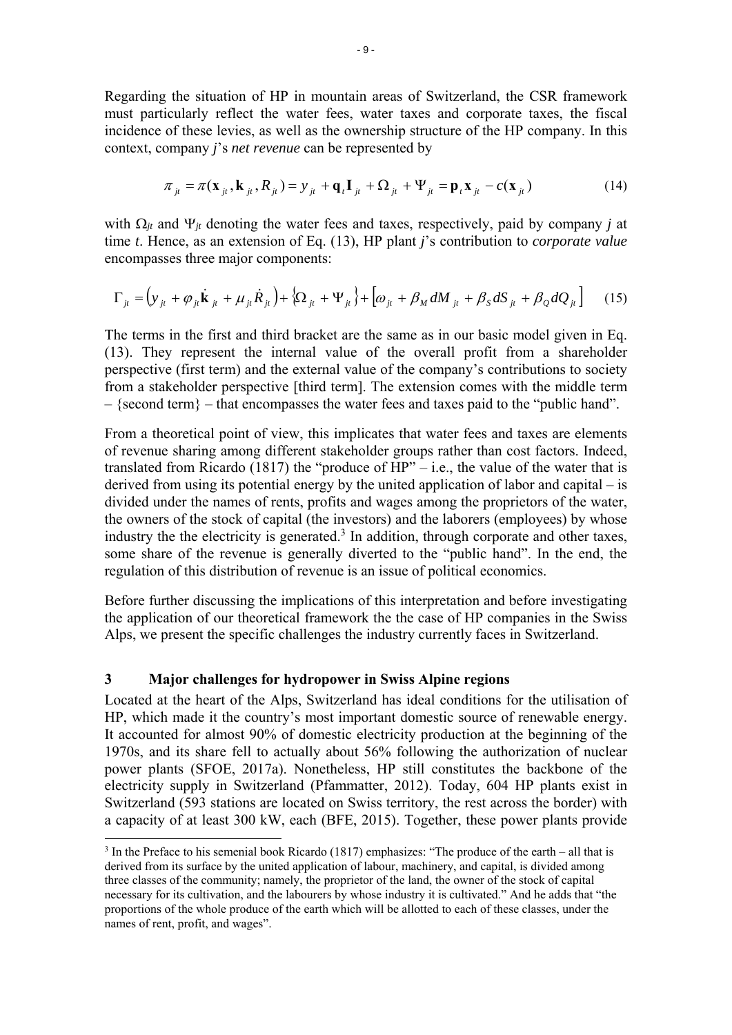Regarding the situation of HP in mountain areas of Switzerland, the CSR framework must particularly reflect the water fees, water taxes and corporate taxes, the fiscal incidence of these levies, as well as the ownership structure of the HP company. In this context, company *j*'s *net revenue* can be represented by

$$
\pi_{jt} = \pi(\mathbf{x}_{jt}, \mathbf{k}_{jt}, R_{jt}) = y_{jt} + \mathbf{q}_t \mathbf{I}_{jt} + \Omega_{jt} + \Psi_{jt} = \mathbf{p}_t \mathbf{x}_{jt} - c(\mathbf{x}_{jt})
$$
(14)

with  $\Omega_{it}$  and  $\Psi_{it}$  denoting the water fees and taxes, respectively, paid by company *j* at time *t*. Hence, as an extension of Eq. (13), HP plant *j*'s contribution to *corporate value* encompasses three major components:

$$
\Gamma_{jt} = \left(y_{jt} + \varphi_{jt}\dot{\mathbf{k}}_{jt} + \mu_{jt}\dot{R}_{jt}\right) + \left\{\Omega_{jt} + \Psi_{jt}\right\} + \left[\omega_{jt} + \beta_M dM_{jt} + \beta_S dS_{jt} + \beta_Q dQ_{jt}\right]
$$
 (15)

The terms in the first and third bracket are the same as in our basic model given in Eq. (13). They represent the internal value of the overall profit from a shareholder perspective (first term) and the external value of the company's contributions to society from a stakeholder perspective [third term]. The extension comes with the middle term – {second term} – that encompasses the water fees and taxes paid to the "public hand".

From a theoretical point of view, this implicates that water fees and taxes are elements of revenue sharing among different stakeholder groups rather than cost factors. Indeed, translated from Ricardo (1817) the "produce of  $HP$ " – i.e., the value of the water that is derived from using its potential energy by the united application of labor and capital – is divided under the names of rents, profits and wages among the proprietors of the water, the owners of the stock of capital (the investors) and the laborers (employees) by whose industry the the electricity is generated.<sup>3</sup> In addition, through corporate and other taxes, some share of the revenue is generally diverted to the "public hand". In the end, the regulation of this distribution of revenue is an issue of political economics.

Before further discussing the implications of this interpretation and before investigating the application of our theoretical framework the the case of HP companies in the Swiss Alps, we present the specific challenges the industry currently faces in Switzerland.

#### **3 Major challenges for hydropower in Swiss Alpine regions**

-

Located at the heart of the Alps, Switzerland has ideal conditions for the utilisation of HP, which made it the country's most important domestic source of renewable energy. It accounted for almost 90% of domestic electricity production at the beginning of the 1970s, and its share fell to actually about 56% following the authorization of nuclear power plants (SFOE, 2017a). Nonetheless, HP still constitutes the backbone of the electricity supply in Switzerland (Pfammatter, 2012). Today, 604 HP plants exist in Switzerland (593 stations are located on Swiss territory, the rest across the border) with a capacity of at least 300 kW, each (BFE, 2015). Together, these power plants provide

 $3$  In the Preface to his semenial book Ricardo (1817) emphasizes: "The produce of the earth – all that is derived from its surface by the united application of labour, machinery, and capital, is divided among three classes of the community; namely, the proprietor of the land, the owner of the stock of capital necessary for its cultivation, and the labourers by whose industry it is cultivated." And he adds that "the proportions of the whole produce of the earth which will be allotted to each of these classes, under the names of rent, profit, and wages".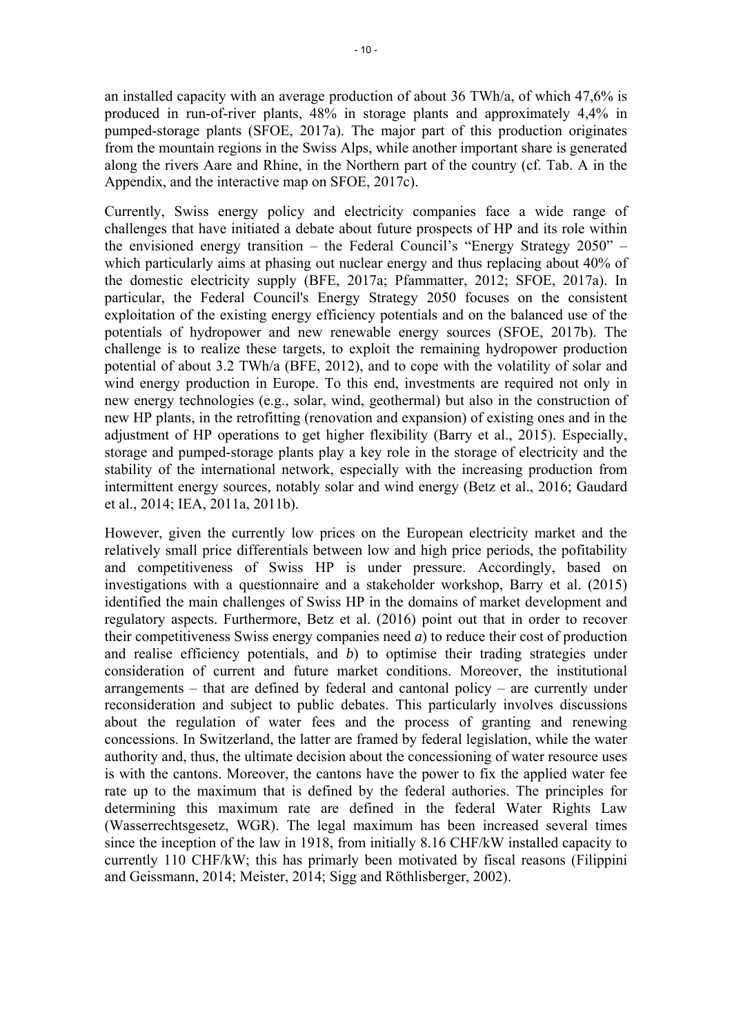an installed capacity with an average production of about 36 TWh/a, of which  $47,6\%$  is produced in run-of-river plants, 48% in storage plants and approximately 4,4% in pumped-storage plants (SFOE, 2017a). The major part of this production originates from the mountain regions in the Swiss Alps, while another important share is generated along the rivers Aare and Rhine, in the Northern part of the country (cf. Tab. A in the Appendix, and the interactive map on SFOE, 2017c).

Currently, Swiss energy policy and electricity companies face a wide range of challenges that have initiated a debate about future prospects of HP and its role within the envisioned energy transition – the Federal Council's "Energy Strategy 2050" – which particularly aims at phasing out nuclear energy and thus replacing about 40% of the domestic electricity supply (BFE, 2017a; Pfammatter, 2012; SFOE, 2017a). In particular, the Federal Council's Energy Strategy 2050 focuses on the consistent exploitation of the existing energy efficiency potentials and on the balanced use of the potentials of hydropower and new renewable energy sources (SFOE, 2017b). The challenge is to realize these targets, to exploit the remaining hydropower production potential of about 3.2 TWh/a (BFE, 2012), and to cope with the volatility of solar and wind energy production in Europe. To this end, investments are required not only in new energy technologies (e.g., solar, wind, geothermal) but also in the construction of new HP plants, in the retrofitting (renovation and expansion) of existing ones and in the adjustment of HP operations to get higher flexibility (Barry et al., 2015). Especially, storage and pumped-storage plants play a key role in the storage of electricity and the stability of the international network, especially with the increasing production from intermittent energy sources, notably solar and wind energy (Betz et al., 2016; Gaudard et al., 2014; IEA, 2011a, 2011b).

However, given the currently low prices on the European electricity market and the relatively small price differentials between low and high price periods, the pofitability and competitiveness of Swiss HP is under pressure. Accordingly, based on investigations with a questionnaire and a stakeholder workshop, Barry et al. (2015) identified the main challenges of Swiss HP in the domains of market development and regulatory aspects. Furthermore, Betz et al. (2016) point out that in order to recover their competitiveness Swiss energy companies need *a*) to reduce their cost of production and realise efficiency potentials, and *b*) to optimise their trading strategies under consideration of current and future market conditions. Moreover, the institutional arrangements – that are defined by federal and cantonal policy – are currently under reconsideration and subject to public debates. This particularly involves discussions about the regulation of water fees and the process of granting and renewing concessions. In Switzerland, the latter are framed by federal legislation, while the water authority and, thus, the ultimate decision about the concessioning of water resource uses is with the cantons. Moreover, the cantons have the power to fix the applied water fee rate up to the maximum that is defined by the federal authories. The principles for determining this maximum rate are defined in the federal Water Rights Law (Wasserrechtsgesetz, WGR). The legal maximum has been increased several times since the inception of the law in 1918, from initially 8.16 CHF/kW installed capacity to currently 110 CHF/kW; this has primarly been motivated by fiscal reasons (Filippini and Geissmann, 2014; Meister, 2014; Sigg and Röthlisberger, 2002).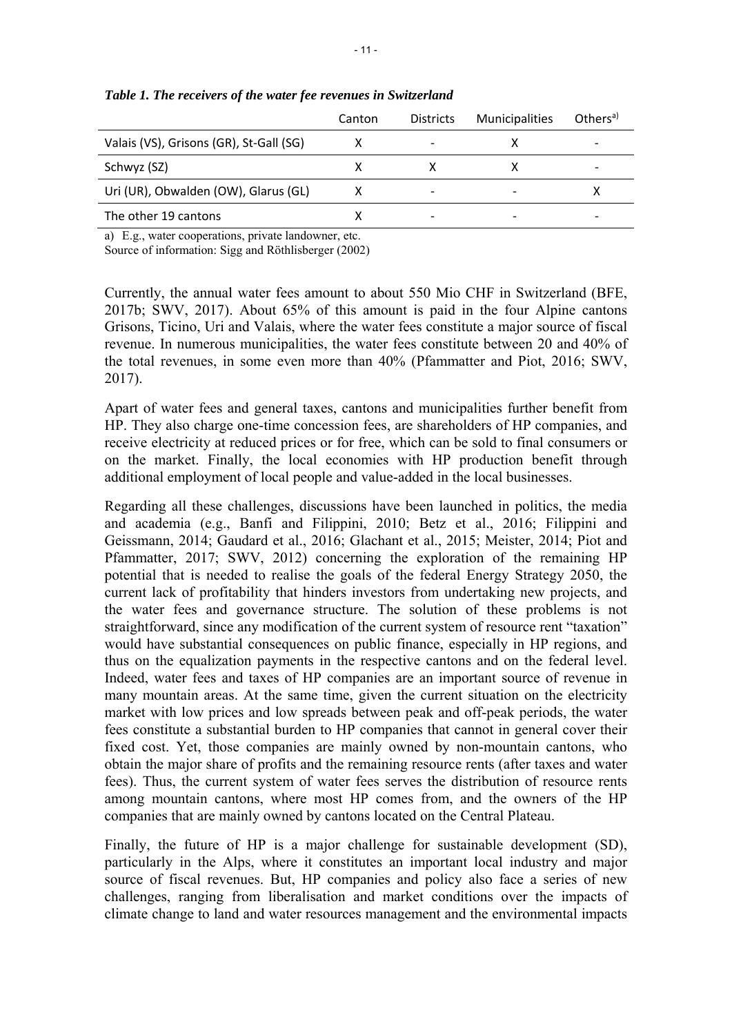|                                         | Canton | <b>Districts</b> | <b>Municipalities</b> | Others <sup>a)</sup> |
|-----------------------------------------|--------|------------------|-----------------------|----------------------|
| Valais (VS), Grisons (GR), St-Gall (SG) |        |                  |                       |                      |
| Schwyz (SZ)                             |        |                  |                       |                      |
| Uri (UR), Obwalden (OW), Glarus (GL)    |        |                  |                       |                      |
| The other 19 cantons                    |        |                  |                       |                      |

*Table 1. The receivers of the water fee revenues in Switzerland* 

a) E.g., water cooperations, private landowner, etc.

Source of information: Sigg and Röthlisberger (2002)

Currently, the annual water fees amount to about 550 Mio CHF in Switzerland (BFE, 2017b; SWV, 2017). About 65% of this amount is paid in the four Alpine cantons Grisons, Ticino, Uri and Valais, where the water fees constitute a major source of fiscal revenue. In numerous municipalities, the water fees constitute between 20 and 40% of the total revenues, in some even more than 40% (Pfammatter and Piot, 2016; SWV, 2017).

Apart of water fees and general taxes, cantons and municipalities further benefit from HP. They also charge one-time concession fees, are shareholders of HP companies, and receive electricity at reduced prices or for free, which can be sold to final consumers or on the market. Finally, the local economies with HP production benefit through additional employment of local people and value-added in the local businesses.

Regarding all these challenges, discussions have been launched in politics, the media and academia (e.g., Banfi and Filippini, 2010; Betz et al., 2016; Filippini and Geissmann, 2014; Gaudard et al., 2016; Glachant et al., 2015; Meister, 2014; Piot and Pfammatter, 2017; SWV, 2012) concerning the exploration of the remaining HP potential that is needed to realise the goals of the federal Energy Strategy 2050, the current lack of profitability that hinders investors from undertaking new projects, and the water fees and governance structure. The solution of these problems is not straightforward, since any modification of the current system of resource rent "taxation" would have substantial consequences on public finance, especially in HP regions, and thus on the equalization payments in the respective cantons and on the federal level. Indeed, water fees and taxes of HP companies are an important source of revenue in many mountain areas. At the same time, given the current situation on the electricity market with low prices and low spreads between peak and off-peak periods, the water fees constitute a substantial burden to HP companies that cannot in general cover their fixed cost. Yet, those companies are mainly owned by non-mountain cantons, who obtain the major share of profits and the remaining resource rents (after taxes and water fees). Thus, the current system of water fees serves the distribution of resource rents among mountain cantons, where most HP comes from, and the owners of the HP companies that are mainly owned by cantons located on the Central Plateau.

Finally, the future of HP is a major challenge for sustainable development (SD), particularly in the Alps, where it constitutes an important local industry and major source of fiscal revenues. But, HP companies and policy also face a series of new challenges, ranging from liberalisation and market conditions over the impacts of climate change to land and water resources management and the environmental impacts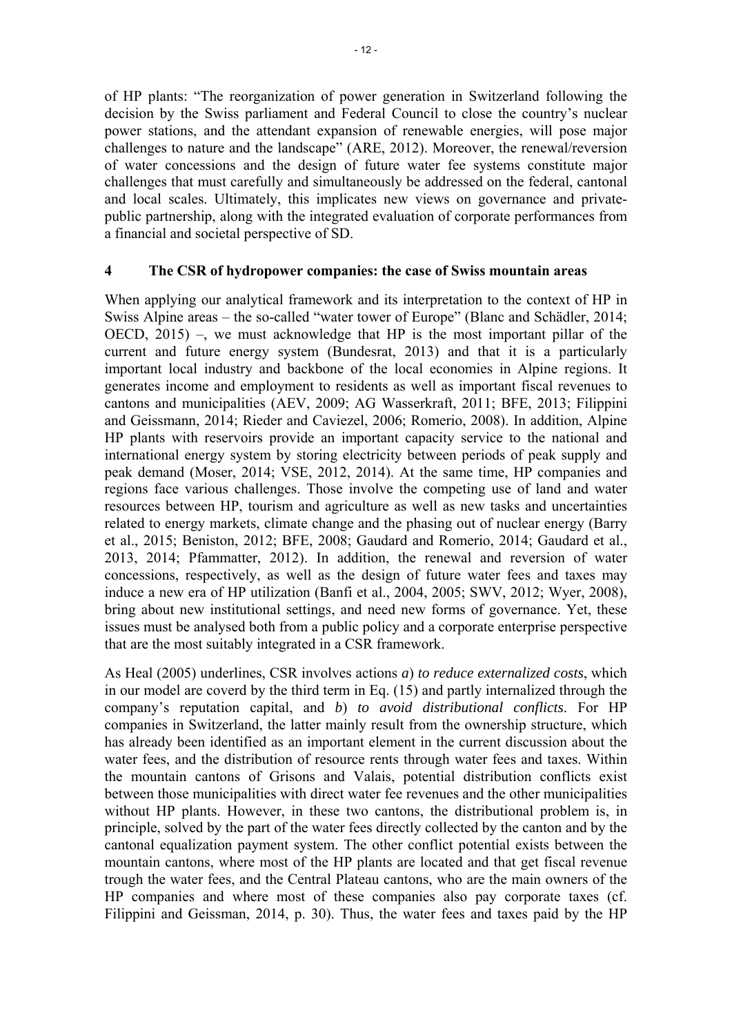of HP plants: "The reorganization of power generation in Switzerland following the decision by the Swiss parliament and Federal Council to close the country's nuclear power stations, and the attendant expansion of renewable energies, will pose major challenges to nature and the landscape" (ARE, 2012). Moreover, the renewal/reversion of water concessions and the design of future water fee systems constitute major challenges that must carefully and simultaneously be addressed on the federal, cantonal and local scales. Ultimately, this implicates new views on governance and privatepublic partnership, along with the integrated evaluation of corporate performances from a financial and societal perspective of SD.

## **4 The CSR of hydropower companies: the case of Swiss mountain areas**

When applying our analytical framework and its interpretation to the context of HP in Swiss Alpine areas – the so-called "water tower of Europe" (Blanc and Schädler, 2014; OECD, 2015) –, we must acknowledge that HP is the most important pillar of the current and future energy system (Bundesrat, 2013) and that it is a particularly important local industry and backbone of the local economies in Alpine regions. It generates income and employment to residents as well as important fiscal revenues to cantons and municipalities (AEV, 2009; AG Wasserkraft, 2011; BFE, 2013; Filippini and Geissmann, 2014; Rieder and Caviezel, 2006; Romerio, 2008). In addition, Alpine HP plants with reservoirs provide an important capacity service to the national and international energy system by storing electricity between periods of peak supply and peak demand (Moser, 2014; VSE, 2012, 2014). At the same time, HP companies and regions face various challenges. Those involve the competing use of land and water resources between HP, tourism and agriculture as well as new tasks and uncertainties related to energy markets, climate change and the phasing out of nuclear energy (Barry et al., 2015; Beniston, 2012; BFE, 2008; Gaudard and Romerio, 2014; Gaudard et al., 2013, 2014; Pfammatter, 2012). In addition, the renewal and reversion of water concessions, respectively, as well as the design of future water fees and taxes may induce a new era of HP utilization (Banfi et al., 2004, 2005; SWV, 2012; Wyer, 2008), bring about new institutional settings, and need new forms of governance. Yet, these issues must be analysed both from a public policy and a corporate enterprise perspective that are the most suitably integrated in a CSR framework.

As Heal (2005) underlines, CSR involves actions *a*) *to reduce externalized costs*, which in our model are coverd by the third term in Eq. (15) and partly internalized through the company's reputation capital, and *b*) *to avoid distributional conflicts*. For HP companies in Switzerland, the latter mainly result from the ownership structure, which has already been identified as an important element in the current discussion about the water fees, and the distribution of resource rents through water fees and taxes. Within the mountain cantons of Grisons and Valais, potential distribution conflicts exist between those municipalities with direct water fee revenues and the other municipalities without HP plants. However, in these two cantons, the distributional problem is, in principle, solved by the part of the water fees directly collected by the canton and by the cantonal equalization payment system. The other conflict potential exists between the mountain cantons, where most of the HP plants are located and that get fiscal revenue trough the water fees, and the Central Plateau cantons, who are the main owners of the HP companies and where most of these companies also pay corporate taxes (cf. Filippini and Geissman, 2014, p. 30). Thus, the water fees and taxes paid by the HP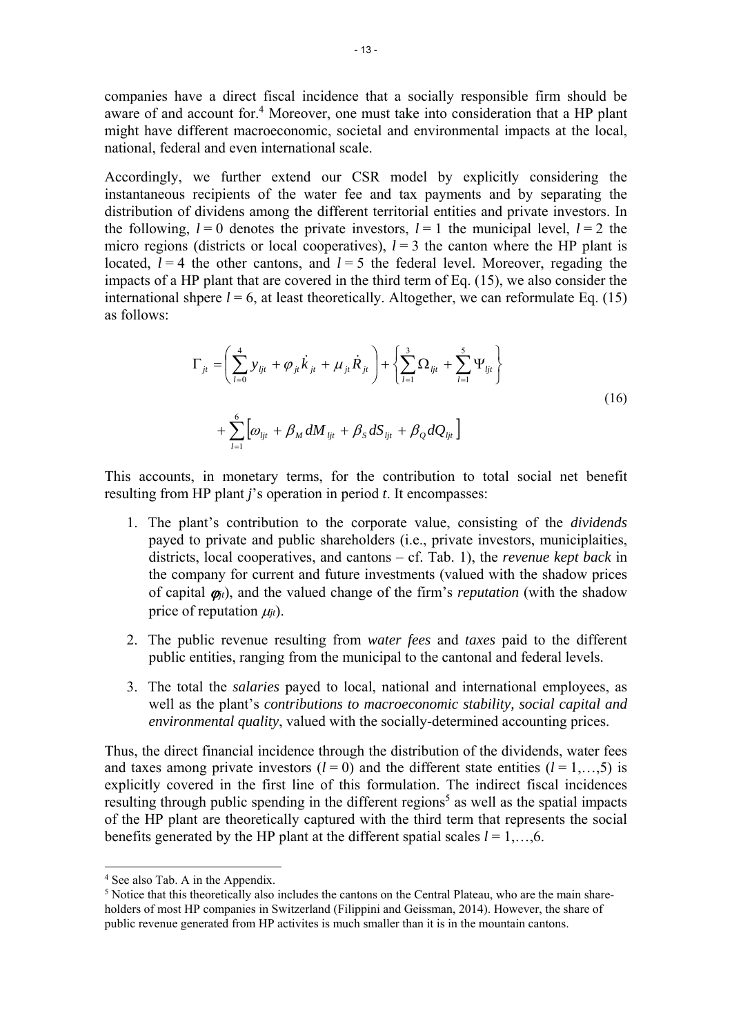companies have a direct fiscal incidence that a socially responsible firm should be aware of and account for.<sup>4</sup> Moreover, one must take into consideration that a HP plant might have different macroeconomic, societal and environmental impacts at the local, national, federal and even international scale.

Accordingly, we further extend our CSR model by explicitly considering the instantaneous recipients of the water fee and tax payments and by separating the distribution of dividens among the different territorial entities and private investors. In the following,  $l = 0$  denotes the private investors,  $l = 1$  the municipal level,  $l = 2$  the micro regions (districts or local cooperatives),  $l = 3$  the canton where the HP plant is located,  $l = 4$  the other cantons, and  $l = 5$  the federal level. Moreover, regading the impacts of a HP plant that are covered in the third term of Eq. (15), we also consider the international shpere  $l = 6$ , at least theoretically. Altogether, we can reformulate Eq. (15) as follows:

$$
\Gamma_{j_t} = \left( \sum_{l=0}^{4} y_{ljt} + \varphi_{jt} \dot{k}_{jt} + \mu_{jt} \dot{R}_{jt} \right) + \left\{ \sum_{l=1}^{3} \Omega_{ljt} + \sum_{l=1}^{5} \Psi_{ljt} \right\} + \sum_{l=1}^{6} \left[ \omega_{ljt} + \beta_M dM_{ljt} + \beta_S dS_{ljt} + \beta_Q dQ_{ljt} \right]
$$
\n(16)

This accounts, in monetary terms, for the contribution to total social net benefit resulting from HP plant *j*'s operation in period *t*. It encompasses:

- 1. The plant's contribution to the corporate value, consisting of the *dividends* payed to private and public shareholders (i.e., private investors, municiplaities, districts, local cooperatives, and cantons – cf. Tab. 1), the *revenue kept back* in the company for current and future investments (valued with the shadow prices of capital  $\varphi$ <sub>i</sub>, and the valued change of the firm's *reputation* (with the shadow price of reputation  $\mu_{jt}$ ).
- 2. The public revenue resulting from *water fees* and *taxes* paid to the different public entities, ranging from the municipal to the cantonal and federal levels.
- 3. The total the *salaries* payed to local, national and international employees, as well as the plant's *contributions to macroeconomic stability, social capital and environmental quality*, valued with the socially-determined accounting prices.

Thus, the direct financial incidence through the distribution of the dividends, water fees and taxes among private investors  $(l = 0)$  and the different state entities  $(l = 1, \ldots, 5)$  is explicitly covered in the first line of this formulation. The indirect fiscal incidences resulting through public spending in the different regions<sup>5</sup> as well as the spatial impacts of the HP plant are theoretically captured with the third term that represents the social benefits generated by the HP plant at the different spatial scales  $l = 1, \ldots, 6$ .

-

<sup>4</sup> See also Tab. A in the Appendix.

 $<sup>5</sup>$  Notice that this theoretically also includes the cantons on the Central Plateau, who are the main share-</sup> holders of most HP companies in Switzerland (Filippini and Geissman, 2014). However, the share of public revenue generated from HP activites is much smaller than it is in the mountain cantons.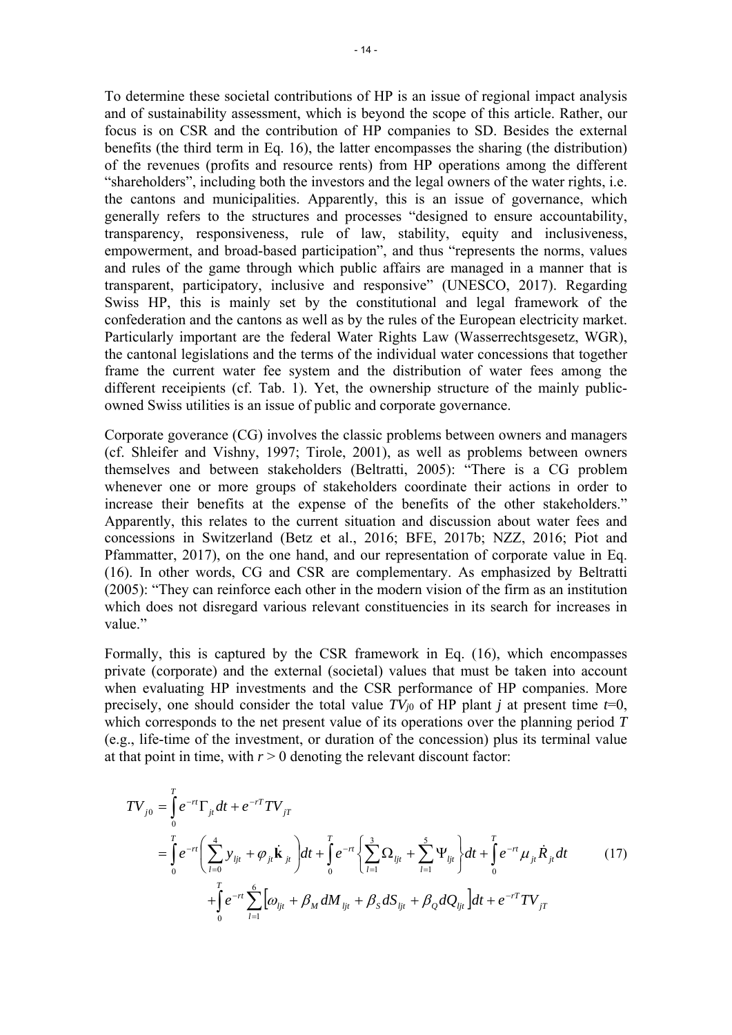To determine these societal contributions of HP is an issue of regional impact analysis and of sustainability assessment, which is beyond the scope of this article. Rather, our focus is on CSR and the contribution of HP companies to SD. Besides the external benefits (the third term in Eq. 16), the latter encompasses the sharing (the distribution) of the revenues (profits and resource rents) from HP operations among the different "shareholders", including both the investors and the legal owners of the water rights, i.e. the cantons and municipalities. Apparently, this is an issue of governance, which generally refers to the structures and processes "designed to ensure accountability, transparency, responsiveness, rule of law, stability, equity and inclusiveness, empowerment, and broad-based participation", and thus "represents the norms, values and rules of the game through which public affairs are managed in a manner that is transparent, participatory, inclusive and responsive" (UNESCO, 2017). Regarding Swiss HP, this is mainly set by the constitutional and legal framework of the confederation and the cantons as well as by the rules of the European electricity market. Particularly important are the federal Water Rights Law (Wasserrechtsgesetz, WGR), the cantonal legislations and the terms of the individual water concessions that together frame the current water fee system and the distribution of water fees among the different receipients (cf. Tab. 1). Yet, the ownership structure of the mainly publicowned Swiss utilities is an issue of public and corporate governance.

Corporate goverance (CG) involves the classic problems between owners and managers (cf. Shleifer and Vishny, 1997; Tirole, 2001), as well as problems between owners themselves and between stakeholders (Beltratti, 2005): "There is a CG problem whenever one or more groups of stakeholders coordinate their actions in order to increase their benefits at the expense of the benefits of the other stakeholders." Apparently, this relates to the current situation and discussion about water fees and concessions in Switzerland (Betz et al., 2016; BFE, 2017b; NZZ, 2016; Piot and Pfammatter, 2017), on the one hand, and our representation of corporate value in Eq. (16). In other words, CG and CSR are complementary. As emphasized by Beltratti (2005): "They can reinforce each other in the modern vision of the firm as an institution which does not disregard various relevant constituencies in its search for increases in value."

Formally, this is captured by the CSR framework in Eq. (16), which encompasses private (corporate) and the external (societal) values that must be taken into account when evaluating HP investments and the CSR performance of HP companies. More precisely, one should consider the total value  $TV_{j0}$  of HP plant *j* at present time  $t=0$ , which corresponds to the net present value of its operations over the planning period *T* (e.g., life-time of the investment, or duration of the concession) plus its terminal value at that point in time, with  $r > 0$  denoting the relevant discount factor:

$$
TV_{j0} = \int_{0}^{T} e^{-rt} \Gamma_{ji} dt + e^{-rT} TV_{jT}
$$
  
=  $\int_{0}^{T} e^{-rt} \left( \sum_{l=0}^{4} y_{ljt} + \varphi_{ji} \dot{\mathbf{k}}_{jl} \right) dt + \int_{0}^{T} e^{-rt} \left\{ \sum_{l=1}^{3} \Omega_{ljt} + \sum_{l=1}^{5} \Psi_{ljt} \right\} dt + \int_{0}^{T} e^{-rt} \mu_{ji} \dot{R}_{jl} dt$  (17)  
+  $\int_{0}^{T} e^{-rt} \sum_{l=1}^{6} \left[ \omega_{ljt} + \beta_{M} dM_{ljt} + \beta_{S} dS_{ljt} + \beta_{Q} dQ_{ljt} \right] dt + e^{-rT} TV_{jT}$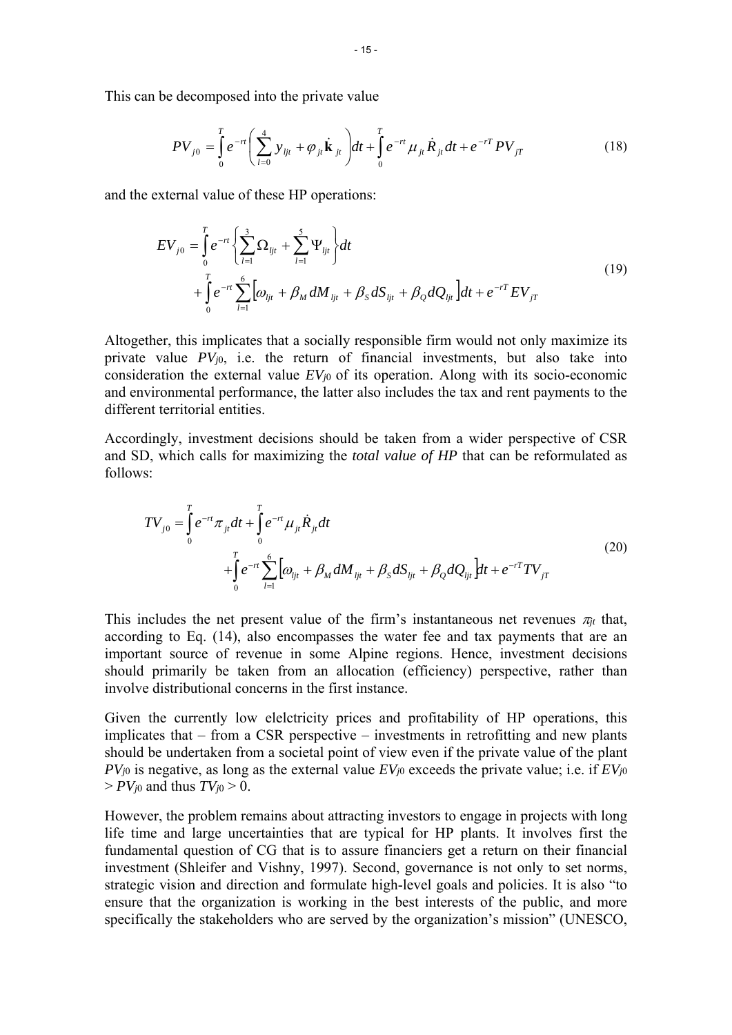This can be decomposed into the private value

$$
PV_{j0} = \int_{0}^{T} e^{-rt} \left( \sum_{l=0}^{4} y_{ljt} + \varphi_{jt} \dot{\mathbf{k}}_{jt} \right) dt + \int_{0}^{T} e^{-rt} \mu_{jt} \dot{R}_{jt} dt + e^{-rT} PV_{jT}
$$
(18)

and the external value of these HP operations:

$$
EV_{j0} = \int_{0}^{T} e^{-rt} \left\{ \sum_{l=1}^{3} \Omega_{ljt} + \sum_{l=1}^{5} \Psi_{ljt} \right\} dt
$$
  
+ 
$$
\int_{0}^{T} e^{-rt} \sum_{l=1}^{6} \left[ \omega_{ljt} + \beta_{M} dM_{ljt} + \beta_{S} dS_{ljt} + \beta_{Q} dQ_{ljt} \right] dt + e^{-rT} EV_{jT}
$$
 (19)

Altogether, this implicates that a socially responsible firm would not only maximize its private value  $PV_{j0}$ , i.e. the return of financial investments, but also take into consideration the external value *EVj*0 of its operation. Along with its socio-economic and environmental performance, the latter also includes the tax and rent payments to the different territorial entities.

Accordingly, investment decisions should be taken from a wider perspective of CSR and SD, which calls for maximizing the *total value of HP* that can be reformulated as follows:

$$
TV_{j0} = \int_{0}^{T} e^{-rt} \pi_{ji} dt + \int_{0}^{T} e^{-rt} \mu_{ji} \dot{R}_{ji} dt
$$
  
+ 
$$
\int_{0}^{T} e^{-rt} \sum_{l=1}^{6} [\omega_{lji} + \beta_M dM_{lji} + \beta_S dS_{lji} + \beta_Q dQ_{lji}] dt + e^{-rT} TV_{jT}
$$
(20)

This includes the net present value of the firm's instantaneous net revenues  $\pi_{it}$  that, according to Eq. (14), also encompasses the water fee and tax payments that are an important source of revenue in some Alpine regions. Hence, investment decisions should primarily be taken from an allocation (efficiency) perspective, rather than involve distributional concerns in the first instance.

Given the currently low elelctricity prices and profitability of HP operations, this implicates that – from a CSR perspective – investments in retrofitting and new plants should be undertaken from a societal point of view even if the private value of the plant *PVj*0 is negative, as long as the external value *EVj*0 exceeds the private value; i.e. if *EVj*<sup>0</sup>  $> PV_{i0}$  and thus  $TV_{i0} > 0$ .

However, the problem remains about attracting investors to engage in projects with long life time and large uncertainties that are typical for HP plants. It involves first the fundamental question of CG that is to assure financiers get a return on their financial investment (Shleifer and Vishny, 1997). Second, governance is not only to set norms, strategic vision and direction and formulate high-level goals and policies. It is also "to ensure that the organization is working in the best interests of the public, and more specifically the stakeholders who are served by the organization's mission" (UNESCO,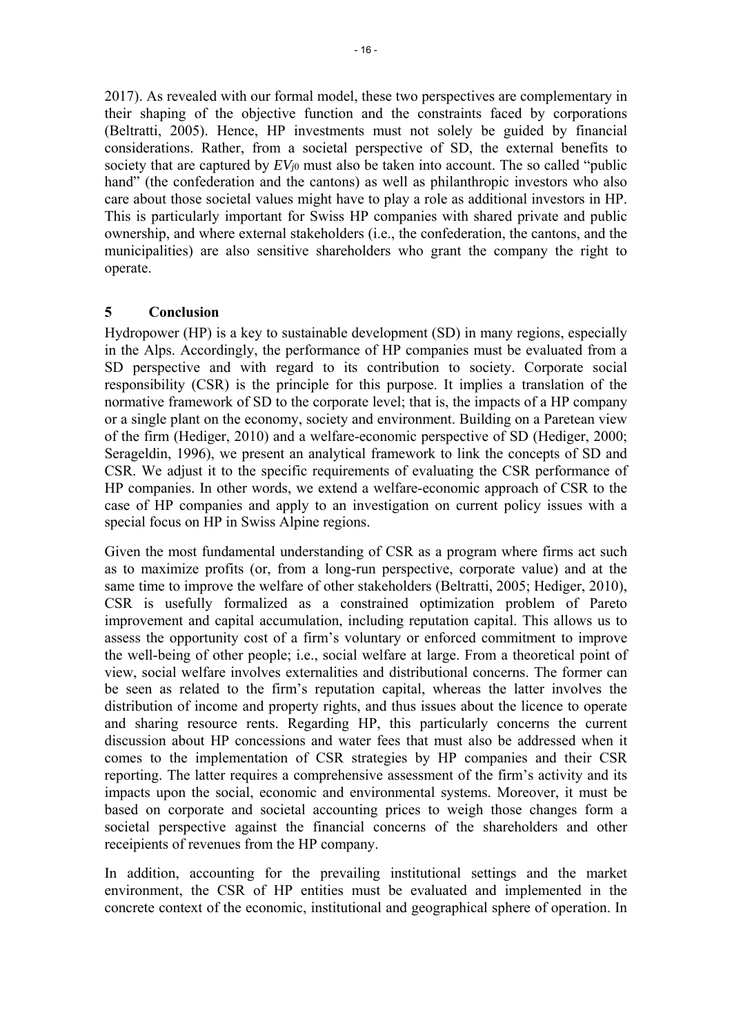2017). As revealed with our formal model, these two perspectives are complementary in their shaping of the objective function and the constraints faced by corporations (Beltratti, 2005). Hence, HP investments must not solely be guided by financial considerations. Rather, from a societal perspective of SD, the external benefits to society that are captured by  $EV_{i0}$  must also be taken into account. The so called "public" hand" (the confederation and the cantons) as well as philanthropic investors who also care about those societal values might have to play a role as additional investors in HP. This is particularly important for Swiss HP companies with shared private and public ownership, and where external stakeholders (i.e., the confederation, the cantons, and the municipalities) are also sensitive shareholders who grant the company the right to operate.

## **5 Conclusion**

Hydropower (HP) is a key to sustainable development (SD) in many regions, especially in the Alps. Accordingly, the performance of HP companies must be evaluated from a SD perspective and with regard to its contribution to society. Corporate social responsibility (CSR) is the principle for this purpose. It implies a translation of the normative framework of SD to the corporate level; that is, the impacts of a HP company or a single plant on the economy, society and environment. Building on a Paretean view of the firm (Hediger, 2010) and a welfare-economic perspective of SD (Hediger, 2000; Serageldin, 1996), we present an analytical framework to link the concepts of SD and CSR. We adjust it to the specific requirements of evaluating the CSR performance of HP companies. In other words, we extend a welfare-economic approach of CSR to the case of HP companies and apply to an investigation on current policy issues with a special focus on HP in Swiss Alpine regions.

Given the most fundamental understanding of CSR as a program where firms act such as to maximize profits (or, from a long-run perspective, corporate value) and at the same time to improve the welfare of other stakeholders (Beltratti, 2005; Hediger, 2010), CSR is usefully formalized as a constrained optimization problem of Pareto improvement and capital accumulation, including reputation capital. This allows us to assess the opportunity cost of a firm's voluntary or enforced commitment to improve the well-being of other people; i.e., social welfare at large. From a theoretical point of view, social welfare involves externalities and distributional concerns. The former can be seen as related to the firm's reputation capital, whereas the latter involves the distribution of income and property rights, and thus issues about the licence to operate and sharing resource rents. Regarding HP, this particularly concerns the current discussion about HP concessions and water fees that must also be addressed when it comes to the implementation of CSR strategies by HP companies and their CSR reporting. The latter requires a comprehensive assessment of the firm's activity and its impacts upon the social, economic and environmental systems. Moreover, it must be based on corporate and societal accounting prices to weigh those changes form a societal perspective against the financial concerns of the shareholders and other receipients of revenues from the HP company.

In addition, accounting for the prevailing institutional settings and the market environment, the CSR of HP entities must be evaluated and implemented in the concrete context of the economic, institutional and geographical sphere of operation. In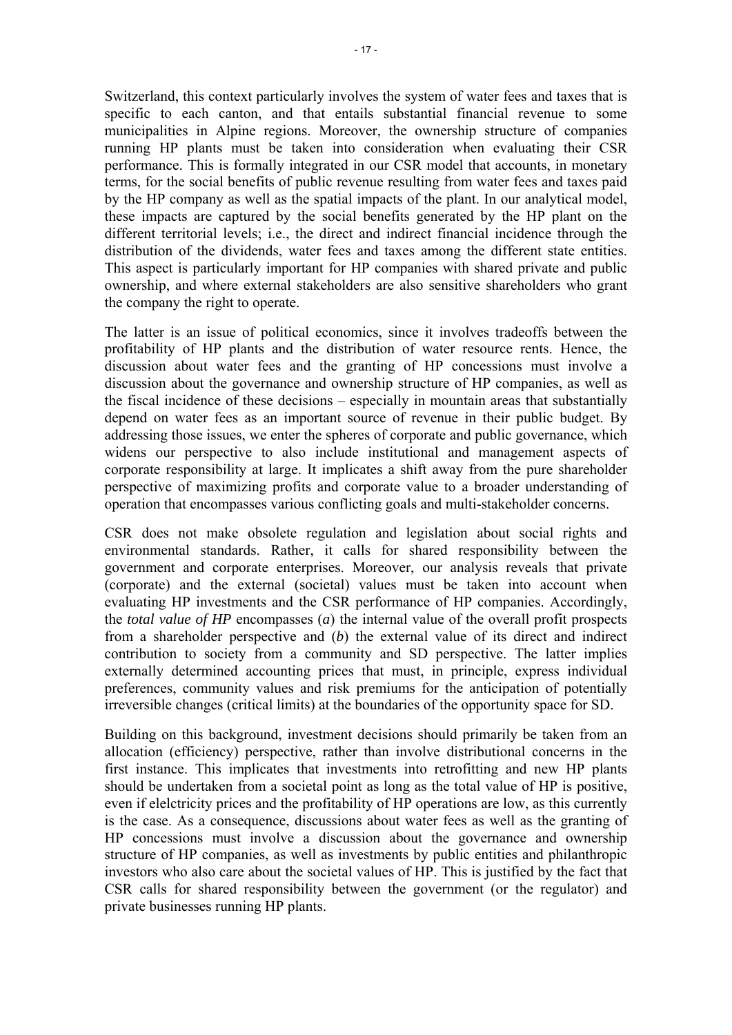Switzerland, this context particularly involves the system of water fees and taxes that is specific to each canton, and that entails substantial financial revenue to some municipalities in Alpine regions. Moreover, the ownership structure of companies running HP plants must be taken into consideration when evaluating their CSR performance. This is formally integrated in our CSR model that accounts, in monetary terms, for the social benefits of public revenue resulting from water fees and taxes paid by the HP company as well as the spatial impacts of the plant. In our analytical model, these impacts are captured by the social benefits generated by the HP plant on the different territorial levels; i.e., the direct and indirect financial incidence through the distribution of the dividends, water fees and taxes among the different state entities. This aspect is particularly important for HP companies with shared private and public ownership, and where external stakeholders are also sensitive shareholders who grant the company the right to operate.

The latter is an issue of political economics, since it involves tradeoffs between the profitability of HP plants and the distribution of water resource rents. Hence, the discussion about water fees and the granting of HP concessions must involve a discussion about the governance and ownership structure of HP companies, as well as the fiscal incidence of these decisions – especially in mountain areas that substantially depend on water fees as an important source of revenue in their public budget. By addressing those issues, we enter the spheres of corporate and public governance, which widens our perspective to also include institutional and management aspects of corporate responsibility at large. It implicates a shift away from the pure shareholder perspective of maximizing profits and corporate value to a broader understanding of operation that encompasses various conflicting goals and multi-stakeholder concerns.

CSR does not make obsolete regulation and legislation about social rights and environmental standards. Rather, it calls for shared responsibility between the government and corporate enterprises. Moreover, our analysis reveals that private (corporate) and the external (societal) values must be taken into account when evaluating HP investments and the CSR performance of HP companies. Accordingly, the *total value of HP* encompasses (*a*) the internal value of the overall profit prospects from a shareholder perspective and (*b*) the external value of its direct and indirect contribution to society from a community and SD perspective. The latter implies externally determined accounting prices that must, in principle, express individual preferences, community values and risk premiums for the anticipation of potentially irreversible changes (critical limits) at the boundaries of the opportunity space for SD.

Building on this background, investment decisions should primarily be taken from an allocation (efficiency) perspective, rather than involve distributional concerns in the first instance. This implicates that investments into retrofitting and new HP plants should be undertaken from a societal point as long as the total value of HP is positive, even if elelctricity prices and the profitability of HP operations are low, as this currently is the case. As a consequence, discussions about water fees as well as the granting of HP concessions must involve a discussion about the governance and ownership structure of HP companies, as well as investments by public entities and philanthropic investors who also care about the societal values of HP. This is justified by the fact that CSR calls for shared responsibility between the government (or the regulator) and private businesses running HP plants.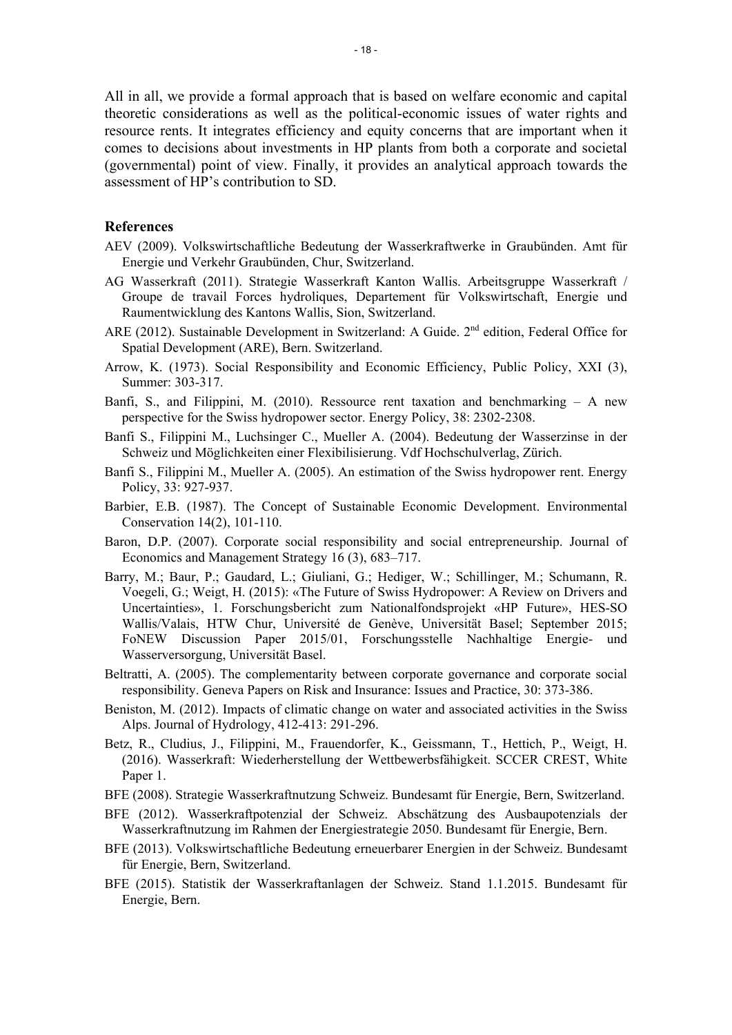All in all, we provide a formal approach that is based on welfare economic and capital theoretic considerations as well as the political-economic issues of water rights and resource rents. It integrates efficiency and equity concerns that are important when it comes to decisions about investments in HP plants from both a corporate and societal (governmental) point of view. Finally, it provides an analytical approach towards the assessment of HP's contribution to SD.

#### **References**

- AEV (2009). Volkswirtschaftliche Bedeutung der Wasserkraftwerke in Graubünden. Amt für Energie und Verkehr Graubünden, Chur, Switzerland.
- AG Wasserkraft (2011). Strategie Wasserkraft Kanton Wallis. Arbeitsgruppe Wasserkraft / Groupe de travail Forces hydroliques, Departement für Volkswirtschaft, Energie und Raumentwicklung des Kantons Wallis, Sion, Switzerland.
- ARE (2012). Sustainable Development in Switzerland: A Guide. 2<sup>nd</sup> edition, Federal Office for Spatial Development (ARE), Bern. Switzerland.
- Arrow, K. (1973). Social Responsibility and Economic Efficiency, Public Policy, XXI (3), Summer: 303-317.
- Banfi, S., and Filippini, M. (2010). Ressource rent taxation and benchmarking  $-$  A new perspective for the Swiss hydropower sector. Energy Policy, 38: 2302-2308.
- Banfi S., Filippini M., Luchsinger C., Mueller A. (2004). Bedeutung der Wasserzinse in der Schweiz und Möglichkeiten einer Flexibilisierung. Vdf Hochschulverlag, Zürich.
- Banfi S., Filippini M., Mueller A. (2005). An estimation of the Swiss hydropower rent. Energy Policy, 33: 927-937.
- Barbier, E.B. (1987). The Concept of Sustainable Economic Development. Environmental Conservation 14(2), 101-110.
- Baron, D.P. (2007). Corporate social responsibility and social entrepreneurship. Journal of Economics and Management Strategy 16 (3), 683–717.
- Barry, M.; Baur, P.; Gaudard, L.; Giuliani, G.; Hediger, W.; Schillinger, M.; Schumann, R. Voegeli, G.; Weigt, H. (2015): «The Future of Swiss Hydropower: A Review on Drivers and Uncertainties», 1. Forschungsbericht zum Nationalfondsprojekt «HP Future», HES-SO Wallis/Valais, HTW Chur, Université de Genève, Universität Basel; September 2015; FoNEW Discussion Paper 2015/01, Forschungsstelle Nachhaltige Energie- und Wasserversorgung, Universität Basel.
- Beltratti, A. (2005). The complementarity between corporate governance and corporate social responsibility. Geneva Papers on Risk and Insurance: Issues and Practice, 30: 373-386.
- Beniston, M. (2012). Impacts of climatic change on water and associated activities in the Swiss Alps. Journal of Hydrology, 412-413: 291-296.
- Betz, R., Cludius, J., Filippini, M., Frauendorfer, K., Geissmann, T., Hettich, P., Weigt, H. (2016). Wasserkraft: Wiederherstellung der Wettbewerbsfähigkeit. SCCER CREST, White Paper 1.
- BFE (2008). Strategie Wasserkraftnutzung Schweiz. Bundesamt für Energie, Bern, Switzerland.
- BFE (2012). Wasserkraftpotenzial der Schweiz. Abschätzung des Ausbaupotenzials der Wasserkraftnutzung im Rahmen der Energiestrategie 2050. Bundesamt für Energie, Bern.
- BFE (2013). Volkswirtschaftliche Bedeutung erneuerbarer Energien in der Schweiz. Bundesamt für Energie, Bern, Switzerland.
- BFE (2015). Statistik der Wasserkraftanlagen der Schweiz. Stand 1.1.2015. Bundesamt für Energie, Bern.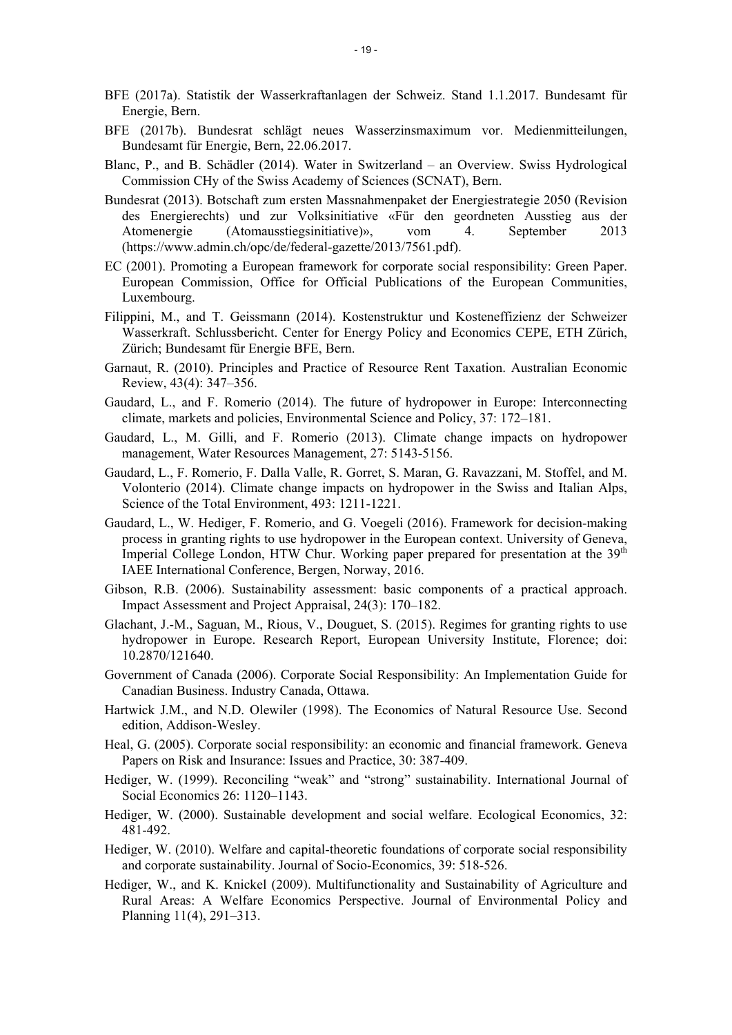- BFE (2017a). Statistik der Wasserkraftanlagen der Schweiz. Stand 1.1.2017. Bundesamt für Energie, Bern.
- BFE (2017b). Bundesrat schlägt neues Wasserzinsmaximum vor. Medienmitteilungen, Bundesamt für Energie, Bern, 22.06.2017.
- Blanc, P., and B. Schädler (2014). Water in Switzerland an Overview. Swiss Hydrological Commission CHy of the Swiss Academy of Sciences (SCNAT), Bern.
- Bundesrat (2013). Botschaft zum ersten Massnahmenpaket der Energiestrategie 2050 (Revision des Energierechts) und zur Volksinitiative «Für den geordneten Ausstieg aus der Atomenergie (Atomausstiegsinitiative)», vom 4. September 2013 (https://www.admin.ch/opc/de/federal-gazette/2013/7561.pdf).
- EC (2001). Promoting a European framework for corporate social responsibility: Green Paper. European Commission, Office for Official Publications of the European Communities, Luxembourg.
- Filippini, M., and T. Geissmann (2014). Kostenstruktur und Kosteneffizienz der Schweizer Wasserkraft. Schlussbericht. Center for Energy Policy and Economics CEPE, ETH Zürich, Zürich; Bundesamt für Energie BFE, Bern.
- Garnaut, R. (2010). Principles and Practice of Resource Rent Taxation. Australian Economic Review, 43(4): 347–356.
- Gaudard, L., and F. Romerio (2014). The future of hydropower in Europe: Interconnecting climate, markets and policies, Environmental Science and Policy, 37: 172–181.
- Gaudard, L., M. Gilli, and F. Romerio (2013). Climate change impacts on hydropower management, Water Resources Management, 27: 5143-5156.
- Gaudard, L., F. Romerio, F. Dalla Valle, R. Gorret, S. Maran, G. Ravazzani, M. Stoffel, and M. Volonterio (2014). Climate change impacts on hydropower in the Swiss and Italian Alps, Science of the Total Environment, 493: 1211-1221.
- Gaudard, L., W. Hediger, F. Romerio, and G. Voegeli (2016). Framework for decision-making process in granting rights to use hydropower in the European context. University of Geneva, Imperial College London, HTW Chur. Working paper prepared for presentation at the  $39<sup>th</sup>$ IAEE International Conference, Bergen, Norway, 2016.
- Gibson, R.B. (2006). Sustainability assessment: basic components of a practical approach. Impact Assessment and Project Appraisal, 24(3): 170–182.
- Glachant, J.-M., Saguan, M., Rious, V., Douguet, S. (2015). Regimes for granting rights to use hydropower in Europe. Research Report, European University Institute, Florence; doi: 10.2870/121640.
- Government of Canada (2006). Corporate Social Responsibility: An Implementation Guide for Canadian Business. Industry Canada, Ottawa.
- Hartwick J.M., and N.D. Olewiler (1998). The Economics of Natural Resource Use. Second edition, Addison-Wesley.
- Heal, G. (2005). Corporate social responsibility: an economic and financial framework. Geneva Papers on Risk and Insurance: Issues and Practice, 30: 387-409.
- Hediger, W. (1999). Reconciling "weak" and "strong" sustainability. International Journal of Social Economics 26: 1120–1143.
- Hediger, W. (2000). Sustainable development and social welfare. Ecological Economics, 32: 481-492.
- Hediger, W. (2010). Welfare and capital-theoretic foundations of corporate social responsibility and corporate sustainability. Journal of Socio-Economics, 39: 518-526.
- Hediger, W., and K. Knickel (2009). Multifunctionality and Sustainability of Agriculture and Rural Areas: A Welfare Economics Perspective. Journal of Environmental Policy and Planning 11(4), 291–313.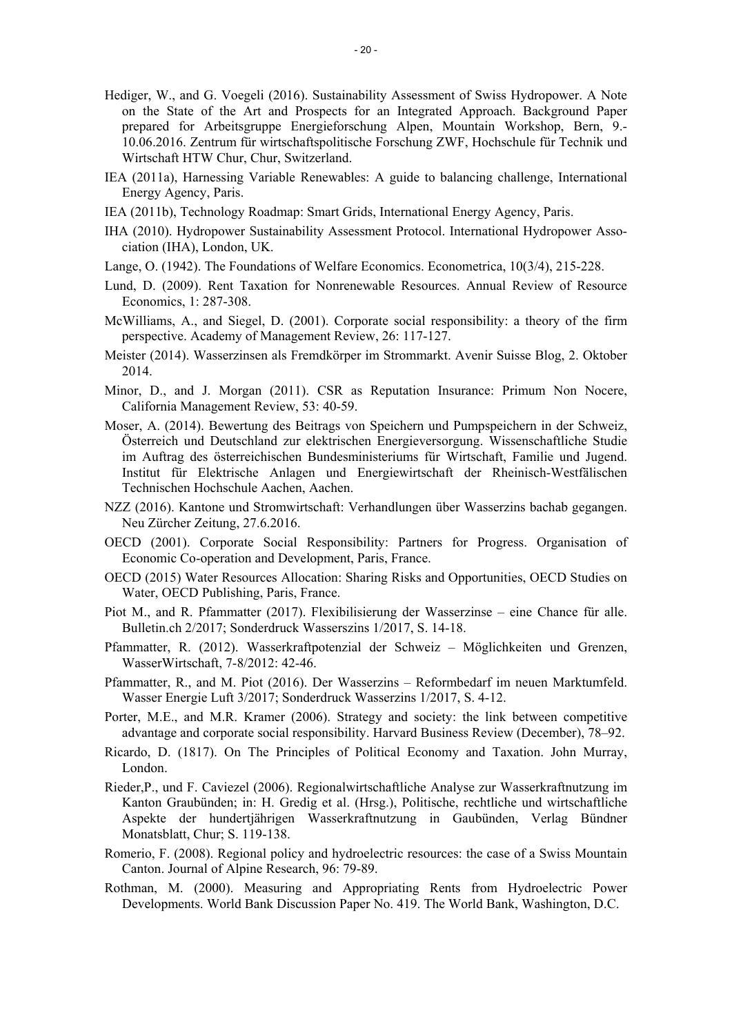- Hediger, W., and G. Voegeli (2016). Sustainability Assessment of Swiss Hydropower. A Note on the State of the Art and Prospects for an Integrated Approach. Background Paper prepared for Arbeitsgruppe Energieforschung Alpen, Mountain Workshop, Bern, 9.- 10.06.2016. Zentrum für wirtschaftspolitische Forschung ZWF, Hochschule für Technik und Wirtschaft HTW Chur, Chur, Switzerland.
- IEA (2011a), Harnessing Variable Renewables: A guide to balancing challenge, International Energy Agency, Paris.
- IEA (2011b), Technology Roadmap: Smart Grids, International Energy Agency, Paris.
- IHA (2010). Hydropower Sustainability Assessment Protocol. International Hydropower Association (IHA), London, UK.
- Lange, O. (1942). The Foundations of Welfare Economics. Econometrica, 10(3/4), 215-228.
- Lund, D. (2009). Rent Taxation for Nonrenewable Resources. Annual Review of Resource Economics, 1: 287-308.
- McWilliams, A., and Siegel, D. (2001). Corporate social responsibility: a theory of the firm perspective. Academy of Management Review, 26: 117-127.
- Meister (2014). Wasserzinsen als Fremdkörper im Strommarkt. Avenir Suisse Blog, 2. Oktober 2014.
- Minor, D., and J. Morgan (2011). CSR as Reputation Insurance: Primum Non Nocere, California Management Review, 53: 40-59.
- Moser, A. (2014). Bewertung des Beitrags von Speichern und Pumpspeichern in der Schweiz, Österreich und Deutschland zur elektrischen Energieversorgung. Wissenschaftliche Studie im Auftrag des österreichischen Bundesministeriums für Wirtschaft, Familie und Jugend. Institut für Elektrische Anlagen und Energiewirtschaft der Rheinisch-Westfälischen Technischen Hochschule Aachen, Aachen.
- NZZ (2016). Kantone und Stromwirtschaft: Verhandlungen über Wasserzins bachab gegangen. Neu Zürcher Zeitung, 27.6.2016.
- OECD (2001). Corporate Social Responsibility: Partners for Progress. Organisation of Economic Co-operation and Development, Paris, France.
- OECD (2015) Water Resources Allocation: Sharing Risks and Opportunities, OECD Studies on Water, OECD Publishing, Paris, France.
- Piot M., and R. Pfammatter (2017). Flexibilisierung der Wasserzinse eine Chance für alle. Bulletin.ch 2/2017; Sonderdruck Wasserszins 1/2017, S. 14-18.
- Pfammatter, R. (2012). Wasserkraftpotenzial der Schweiz Möglichkeiten und Grenzen, WasserWirtschaft, 7-8/2012: 42-46.
- Pfammatter, R., and M. Piot (2016). Der Wasserzins Reformbedarf im neuen Marktumfeld. Wasser Energie Luft 3/2017; Sonderdruck Wasserzins 1/2017, S. 4-12.
- Porter, M.E., and M.R. Kramer (2006). Strategy and society: the link between competitive advantage and corporate social responsibility. Harvard Business Review (December), 78–92.
- Ricardo, D. (1817). On The Principles of Political Economy and Taxation. John Murray, London.
- Rieder,P., und F. Caviezel (2006). Regionalwirtschaftliche Analyse zur Wasserkraftnutzung im Kanton Graubünden; in: H. Gredig et al. (Hrsg.), Politische, rechtliche und wirtschaftliche Aspekte der hundertjährigen Wasserkraftnutzung in Gaubünden, Verlag Bündner Monatsblatt, Chur; S. 119-138.
- Romerio, F. (2008). Regional policy and hydroelectric resources: the case of a Swiss Mountain Canton. Journal of Alpine Research, 96: 79-89.
- Rothman, M. (2000). Measuring and Appropriating Rents from Hydroelectric Power Developments. World Bank Discussion Paper No. 419. The World Bank, Washington, D.C.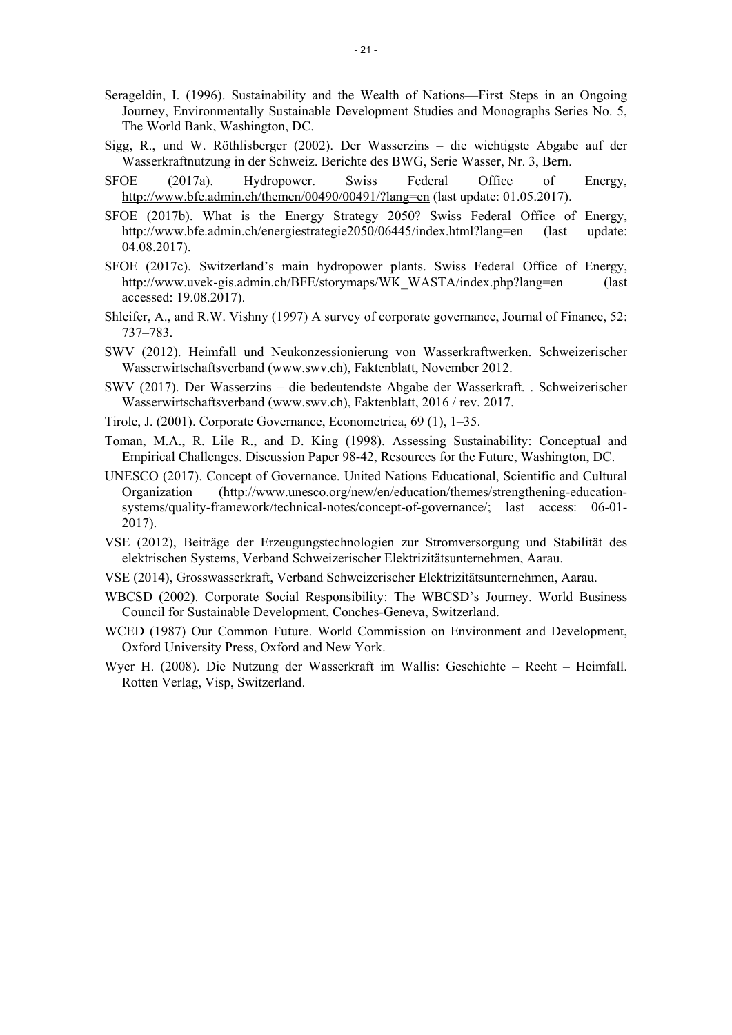- Serageldin, I. (1996). Sustainability and the Wealth of Nations—First Steps in an Ongoing Journey, Environmentally Sustainable Development Studies and Monographs Series No. 5, The World Bank, Washington, DC.
- Sigg, R., und W. Röthlisberger (2002). Der Wasserzins die wichtigste Abgabe auf der Wasserkraftnutzung in der Schweiz. Berichte des BWG, Serie Wasser, Nr. 3, Bern.
- SFOE (2017a). Hydropower. Swiss Federal Office of Energy, http://www.bfe.admin.ch/themen/00490/00491/?lang=en (last update: 01.05.2017).
- SFOE (2017b). What is the Energy Strategy 2050? Swiss Federal Office of Energy, http://www.bfe.admin.ch/energiestrategie2050/06445/index.html?lang=en (last update: 04.08.2017).
- SFOE (2017c). Switzerland's main hydropower plants. Swiss Federal Office of Energy, http://www.uvek-gis.admin.ch/BFE/storymaps/WK\_WASTA/index.php?lang=en (last accessed: 19.08.2017).
- Shleifer, A., and R.W. Vishny (1997) A survey of corporate governance, Journal of Finance, 52: 737–783.
- SWV (2012). Heimfall und Neukonzessionierung von Wasserkraftwerken. Schweizerischer Wasserwirtschaftsverband (www.swv.ch), Faktenblatt, November 2012.
- SWV (2017). Der Wasserzins die bedeutendste Abgabe der Wasserkraft. . Schweizerischer Wasserwirtschaftsverband (www.swv.ch), Faktenblatt, 2016 / rev. 2017.
- Tirole, J. (2001). Corporate Governance, Econometrica, 69 (1), 1–35.
- Toman, M.A., R. Lile R., and D. King (1998). Assessing Sustainability: Conceptual and Empirical Challenges. Discussion Paper 98-42, Resources for the Future, Washington, DC.
- UNESCO (2017). Concept of Governance. United Nations Educational, Scientific and Cultural Organization (http://www.unesco.org/new/en/education/themes/strengthening-educationsystems/quality-framework/technical-notes/concept-of-governance/; last access: 06-01- 2017).
- VSE (2012), Beiträge der Erzeugungstechnologien zur Stromversorgung und Stabilität des elektrischen Systems, Verband Schweizerischer Elektrizitätsunternehmen, Aarau.
- VSE (2014), Grosswasserkraft, Verband Schweizerischer Elektrizitätsunternehmen, Aarau.
- WBCSD (2002). Corporate Social Responsibility: The WBCSD's Journey. World Business Council for Sustainable Development, Conches-Geneva, Switzerland.
- WCED (1987) Our Common Future. World Commission on Environment and Development, Oxford University Press, Oxford and New York.
- Wyer H. (2008). Die Nutzung der Wasserkraft im Wallis: Geschichte Recht Heimfall. Rotten Verlag, Visp, Switzerland.